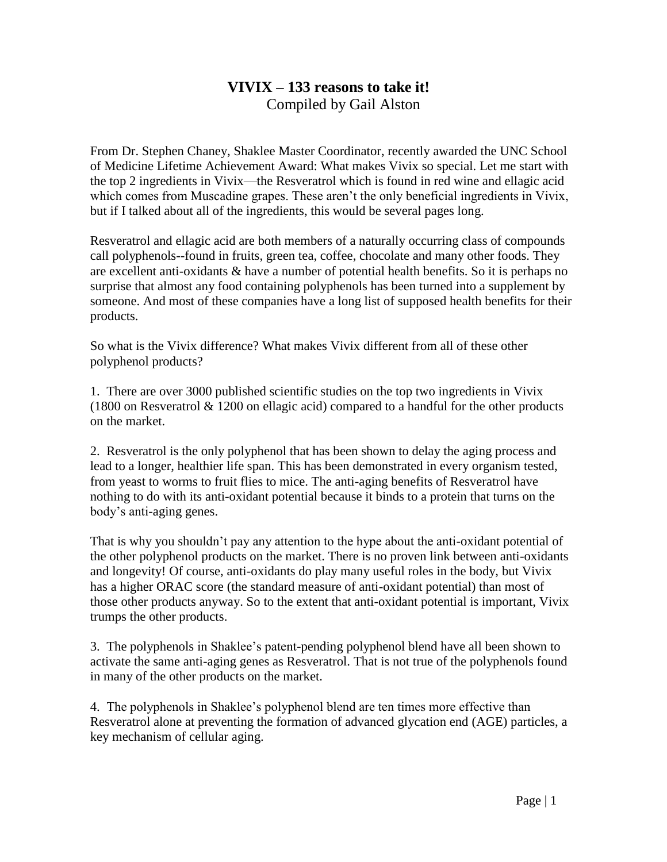# **VIVIX – 133 reasons to take it!** Compiled by Gail Alston

From Dr. Stephen Chaney, Shaklee Master Coordinator, recently awarded the UNC School of Medicine Lifetime Achievement Award: What makes Vivix so special. Let me start with the top 2 ingredients in Vivix—the Resveratrol which is found in red wine and ellagic acid which comes from Muscadine grapes. These aren't the only beneficial ingredients in Vivix, but if I talked about all of the ingredients, this would be several pages long.

Resveratrol and ellagic acid are both members of a naturally occurring class of compounds call polyphenols--found in fruits, green tea, coffee, chocolate and many other foods. They are excellent anti-oxidants & have a number of potential health benefits. So it is perhaps no surprise that almost any food containing polyphenols has been turned into a supplement by someone. And most of these companies have a long list of supposed health benefits for their products.

So what is the Vivix difference? What makes Vivix different from all of these other polyphenol products?

1. There are over 3000 published scientific studies on the top two ingredients in Vivix (1800 on Resveratrol & 1200 on ellagic acid) compared to a handful for the other products on the market.

2. Resveratrol is the only polyphenol that has been shown to delay the aging process and lead to a longer, healthier life span. This has been demonstrated in every organism tested, from yeast to worms to fruit flies to mice. The anti-aging benefits of Resveratrol have nothing to do with its anti-oxidant potential because it binds to a protein that turns on the body's anti-aging genes.

That is why you shouldn't pay any attention to the hype about the anti-oxidant potential of the other polyphenol products on the market. There is no proven link between anti-oxidants and longevity! Of course, anti-oxidants do play many useful roles in the body, but Vivix has a higher ORAC score (the standard measure of anti-oxidant potential) than most of those other products anyway. So to the extent that anti-oxidant potential is important, Vivix trumps the other products.

3. The polyphenols in Shaklee's patent-pending polyphenol blend have all been shown to activate the same anti-aging genes as Resveratrol. That is not true of the polyphenols found in many of the other products on the market.

4. The polyphenols in Shaklee's polyphenol blend are ten times more effective than Resveratrol alone at preventing the formation of advanced glycation end (AGE) particles, a key mechanism of cellular aging.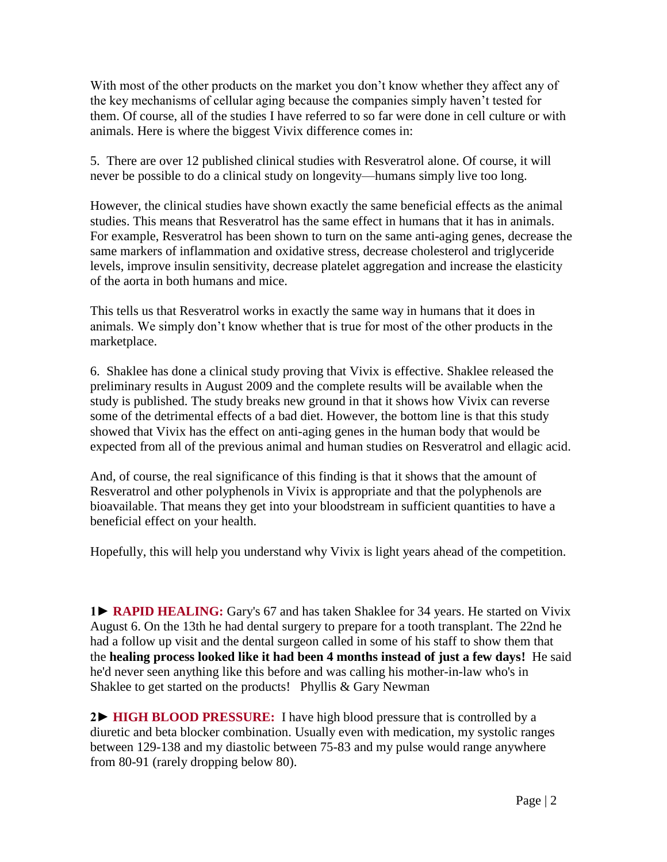With most of the other products on the market you don't know whether they affect any of the key mechanisms of cellular aging because the companies simply haven't tested for them. Of course, all of the studies I have referred to so far were done in cell culture or with animals. Here is where the biggest Vivix difference comes in:

5. There are over 12 published clinical studies with Resveratrol alone. Of course, it will never be possible to do a clinical study on longevity—humans simply live too long.

However, the clinical studies have shown exactly the same beneficial effects as the animal studies. This means that Resveratrol has the same effect in humans that it has in animals. For example, Resveratrol has been shown to turn on the same anti-aging genes, decrease the same markers of inflammation and oxidative stress, decrease cholesterol and triglyceride levels, improve insulin sensitivity, decrease platelet aggregation and increase the elasticity of the aorta in both humans and mice.

This tells us that Resveratrol works in exactly the same way in humans that it does in animals. We simply don't know whether that is true for most of the other products in the marketplace.

6. Shaklee has done a clinical study proving that Vivix is effective. Shaklee released the preliminary results in August 2009 and the complete results will be available when the study is published. The study breaks new ground in that it shows how Vivix can reverse some of the detrimental effects of a bad diet. However, the bottom line is that this study showed that Vivix has the effect on anti-aging genes in the human body that would be expected from all of the previous animal and human studies on Resveratrol and ellagic acid.

And, of course, the real significance of this finding is that it shows that the amount of Resveratrol and other polyphenols in Vivix is appropriate and that the polyphenols are bioavailable. That means they get into your bloodstream in sufficient quantities to have a beneficial effect on your health.

Hopefully, this will help you understand why Vivix is light years ahead of the competition.

**1► RAPID HEALING:** Gary's 67 and has taken Shaklee for 34 years. He started on Vivix August 6. On the 13th he had dental surgery to prepare for a tooth transplant. The 22nd he had a follow up visit and the dental surgeon called in some of his staff to show them that the **healing process looked like it had been 4 months instead of just a few days!** He said he'd never seen anything like this before and was calling his mother-in-law who's in Shaklee to get started on the products! Phyllis & Gary Newman

**2► HIGH BLOOD PRESSURE:** I have high blood pressure that is controlled by a diuretic and beta blocker combination. Usually even with medication, my systolic ranges between 129-138 and my diastolic between 75-83 and my pulse would range anywhere from 80-91 (rarely dropping below 80).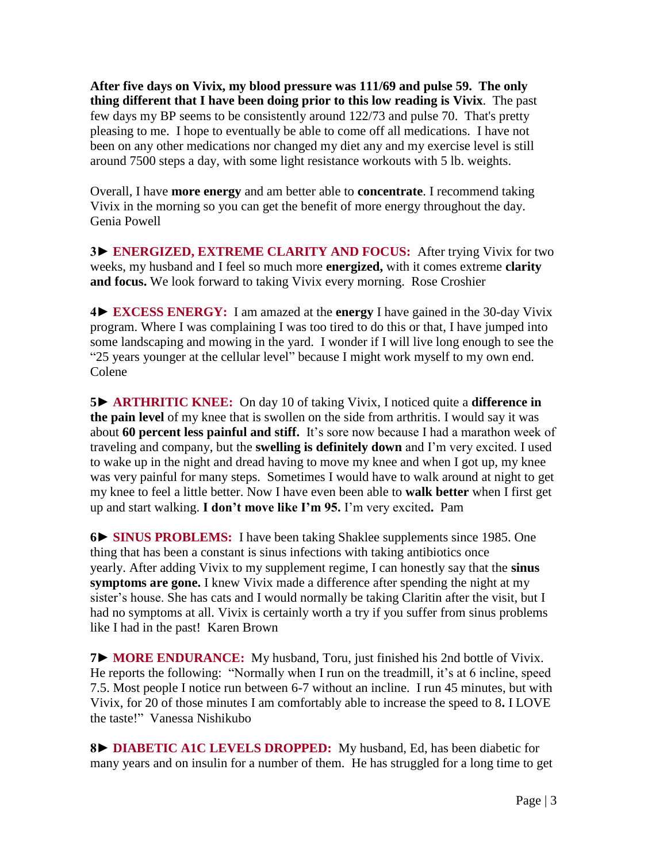**After five days on Vivix, my blood pressure was 111/69 and pulse 59. The only thing different that I have been doing prior to this low reading is Vivix**. The past few days my BP seems to be consistently around 122/73 and pulse 70. That's pretty pleasing to me. I hope to eventually be able to come off all medications. I have not been on any other medications nor changed my diet any and my exercise level is still around 7500 steps a day, with some light resistance workouts with 5 lb. weights.

Overall, I have **more energy** and am better able to **concentrate**. I recommend taking Vivix in the morning so you can get the benefit of more energy throughout the day. Genia Powell

**3► ENERGIZED, EXTREME CLARITY AND FOCUS:** After trying Vivix for two weeks, my husband and I feel so much more **energized,** with it comes extreme **clarity and focus.** We look forward to taking Vivix every morning. Rose Croshier

**4► EXCESS ENERGY:** I am amazed at the **energy** I have gained in the 30-day Vivix program. Where I was complaining I was too tired to do this or that, I have jumped into some landscaping and mowing in the yard. I wonder if I will live long enough to see the "25 years younger at the cellular level" because I might work myself to my own end. Colene

**5► ARTHRITIC KNEE:** On day 10 of taking Vivix, I noticed quite a **difference in the pain level** of my knee that is swollen on the side from arthritis. I would say it was about **60 percent less painful and stiff.** It's sore now because I had a marathon week of traveling and company, but the **swelling is definitely down** and I'm very excited. I used to wake up in the night and dread having to move my knee and when I got up, my knee was very painful for many steps. Sometimes I would have to walk around at night to get my knee to feel a little better. Now I have even been able to **walk better** when I first get up and start walking. **I don't move like I'm 95.** I'm very excited**.** Pam

**6► SINUS PROBLEMS:** I have been taking Shaklee supplements since 1985. One thing that has been a constant is sinus infections with taking antibiotics once yearly. After adding Vivix to my supplement regime, I can honestly say that the **sinus symptoms are gone.** I knew Vivix made a difference after spending the night at my sister's house. She has cats and I would normally be taking Claritin after the visit, but I had no symptoms at all. Vivix is certainly worth a try if you suffer from sinus problems like I had in the past! Karen Brown

**7► MORE ENDURANCE:** My husband, Toru, just finished his 2nd bottle of Vivix. He reports the following: "Normally when I run on the treadmill, it's at 6 incline, speed 7.5. Most people I notice run between 6-7 without an incline. I run 45 minutes, but with Vivix, for 20 of those minutes I am comfortably able to increase the speed to 8**.** I LOVE the taste!" Vanessa Nishikubo

**8► DIABETIC A1C LEVELS DROPPED:** My husband, Ed, has been diabetic for many years and on insulin for a number of them. He has struggled for a long time to get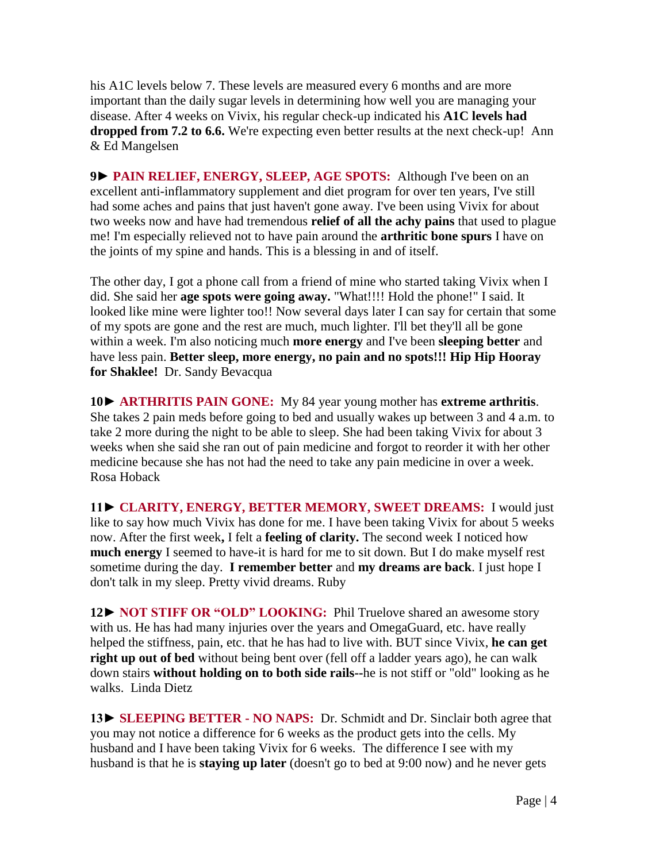his A1C levels below 7. These levels are measured every 6 months and are more important than the daily sugar levels in determining how well you are managing your disease. After 4 weeks on Vivix, his regular check-up indicated his **A1C levels had dropped from 7.2 to 6.6.** We're expecting even better results at the next check-up! Ann & Ed Mangelsen

**9► PAIN RELIEF, ENERGY, SLEEP, AGE SPOTS:** Although I've been on an excellent anti-inflammatory supplement and diet program for over ten years, I've still had some aches and pains that just haven't gone away. I've been using Vivix for about two weeks now and have had tremendous **relief of all the achy pains** that used to plague me! I'm especially relieved not to have pain around the **arthritic bone spurs** I have on the joints of my spine and hands. This is a blessing in and of itself.

The other day, I got a phone call from a friend of mine who started taking Vivix when I did. She said her **age spots were going away.** "What!!!! Hold the phone!" I said. It looked like mine were lighter too!! Now several days later I can say for certain that some of my spots are gone and the rest are much, much lighter. I'll bet they'll all be gone within a week. I'm also noticing much **more energy** and I've been **sleeping better** and have less pain. **Better sleep, more energy, no pain and no spots!!! Hip Hip Hooray for Shaklee!** Dr. Sandy Bevacqua

**10► ARTHRITIS PAIN GONE:** My 84 year young mother has **extreme arthritis**. She takes 2 pain meds before going to bed and usually wakes up between 3 and 4 a.m. to take 2 more during the night to be able to sleep. She had been taking Vivix for about 3 weeks when she said she ran out of pain medicine and forgot to reorder it with her other medicine because she has not had the need to take any pain medicine in over a week. Rosa Hoback

**11► CLARITY, ENERGY, BETTER MEMORY, SWEET DREAMS:** I would just like to say how much Vivix has done for me. I have been taking Vivix for about 5 weeks now. After the first week**,** I felt a **feeling of clarity.** The second week I noticed how **much energy** I seemed to have-it is hard for me to sit down. But I do make myself rest sometime during the day. **I remember better** and **my dreams are back**. I just hope I don't talk in my sleep. Pretty vivid dreams. Ruby

**12► NOT STIFF OR "OLD" LOOKING:** Phil Truelove shared an awesome story with us. He has had many injuries over the years and OmegaGuard, etc. have really helped the stiffness, pain, etc. that he has had to live with. BUT since Vivix, **he can get right up out of bed** without being bent over (fell off a ladder years ago), he can walk down stairs **without holding on to both side rails--**he is not stiff or "old" looking as he walks. Linda Dietz

**13► SLEEPING BETTER - NO NAPS:** Dr. Schmidt and Dr. Sinclair both agree that you may not notice a difference for 6 weeks as the product gets into the cells. My husband and I have been taking Vivix for 6 weeks. The difference I see with my husband is that he is **staying up later** (doesn't go to bed at 9:00 now) and he never gets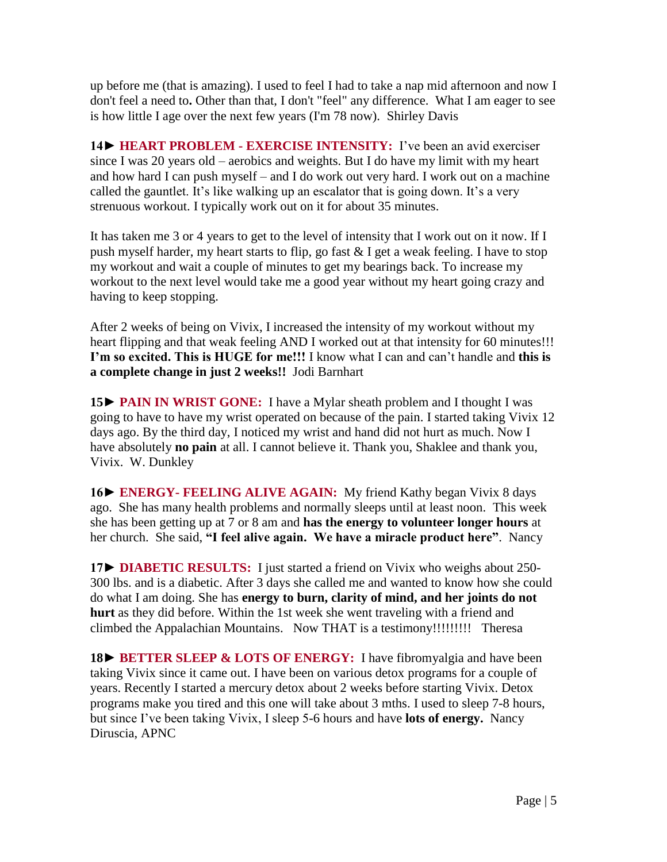up before me (that is amazing). I used to feel I had to take a nap mid afternoon and now I don't feel a need to**.** Other than that, I don't "feel" any difference. What I am eager to see is how little I age over the next few years (I'm 78 now). Shirley Davis

**14► HEART PROBLEM - EXERCISE INTENSITY:** I've been an avid exerciser since I was 20 years old – aerobics and weights. But I do have my limit with my heart and how hard I can push myself – and I do work out very hard. I work out on a machine called the gauntlet. It's like walking up an escalator that is going down. It's a very strenuous workout. I typically work out on it for about 35 minutes.

It has taken me 3 or 4 years to get to the level of intensity that I work out on it now. If I push myself harder, my heart starts to flip, go fast & I get a weak feeling. I have to stop my workout and wait a couple of minutes to get my bearings back. To increase my workout to the next level would take me a good year without my heart going crazy and having to keep stopping.

After 2 weeks of being on Vivix, I increased the intensity of my workout without my heart flipping and that weak feeling AND I worked out at that intensity for 60 minutes!!! **I'm so excited. This is HUGE for me!!!** I know what I can and can't handle and **this is a complete change in just 2 weeks!!** Jodi Barnhart

**15► PAIN IN WRIST GONE:** I have a Mylar sheath problem and I thought I was going to have to have my wrist operated on because of the pain. I started taking Vivix 12 days ago. By the third day, I noticed my wrist and hand did not hurt as much. Now I have absolutely **no pain** at all. I cannot believe it. Thank you, Shaklee and thank you, Vivix. W. Dunkley

**16► ENERGY- FEELING ALIVE AGAIN:** My friend Kathy began Vivix 8 days ago. She has many health problems and normally sleeps until at least noon. This week she has been getting up at 7 or 8 am and **has the energy to volunteer longer hours** at her church. She said, **"I feel alive again. We have a miracle product here"**. Nancy

**17► DIABETIC RESULTS:** I just started a friend on Vivix who weighs about 250- 300 lbs. and is a diabetic. After 3 days she called me and wanted to know how she could do what I am doing. She has **energy to burn, clarity of mind, and her joints do not hurt** as they did before. Within the 1st week she went traveling with a friend and climbed the Appalachian Mountains. Now THAT is a testimony!!!!!!!!!Theresa

**18► BETTER SLEEP & LOTS OF ENERGY:** I have fibromyalgia and have been taking Vivix since it came out. I have been on various detox programs for a couple of years. Recently I started a mercury detox about 2 weeks before starting Vivix. Detox programs make you tired and this one will take about 3 mths. I used to sleep 7-8 hours, but since I've been taking Vivix, I sleep 5-6 hours and have **lots of energy.** Nancy Diruscia, APNC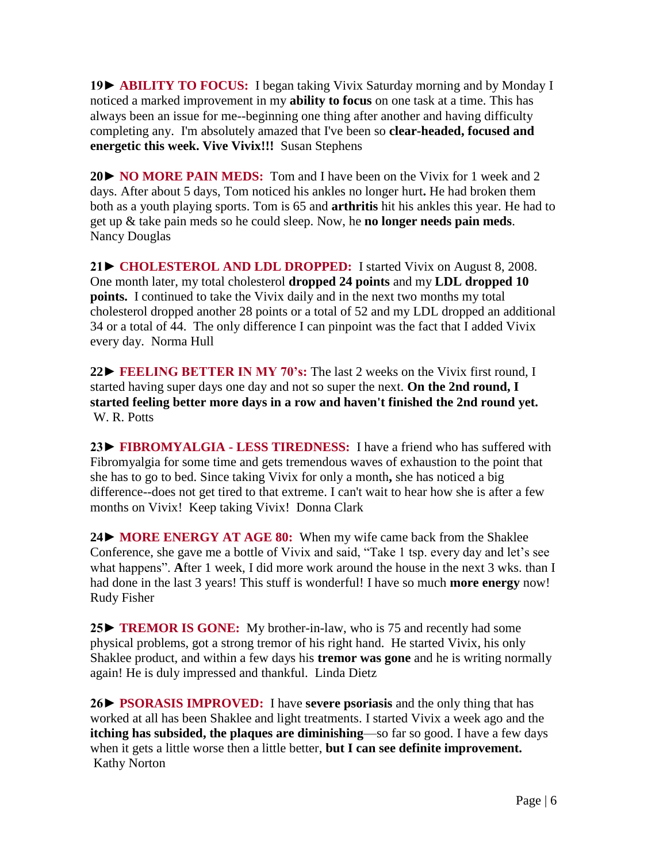**19► ABILITY TO FOCUS:** I began taking Vivix Saturday morning and by Monday I noticed a marked improvement in my **ability to focus** on one task at a time. This has always been an issue for me--beginning one thing after another and having difficulty completing any. I'm absolutely amazed that I've been so **clear-headed, focused and energetic this week. Vive Vivix!!!** Susan Stephens

**20► NO MORE PAIN MEDS:** Tom and I have been on the Vivix for 1 week and 2 days. After about 5 days, Tom noticed his ankles no longer hurt**.** He had broken them both as a youth playing sports. Tom is 65 and **arthritis** hit his ankles this year. He had to get up & take pain meds so he could sleep. Now, he **no longer needs pain meds**. Nancy Douglas

**21► CHOLESTEROL AND LDL DROPPED:** I started Vivix on August 8, 2008. One month later, my total cholesterol **dropped 24 points** and my **LDL dropped 10 points.** I continued to take the Vivix daily and in the next two months my total cholesterol dropped another 28 points or a total of 52 and my LDL dropped an additional 34 or a total of 44. The only difference I can pinpoint was the fact that I added Vivix every day. Norma Hull

**22► FEELING BETTER IN MY 70's:** The last 2 weeks on the Vivix first round, I started having super days one day and not so super the next. **On the 2nd round, I started feeling better more days in a row and haven't finished the 2nd round yet.**  W. R. Potts

**23► FIBROMYALGIA - LESS TIREDNESS:** I have a friend who has suffered with Fibromyalgia for some time and gets tremendous waves of exhaustion to the point that she has to go to bed. Since taking Vivix for only a month**,** she has noticed a big difference--does not get tired to that extreme. I can't wait to hear how she is after a few months on Vivix! Keep taking Vivix! Donna Clark

**24► MORE ENERGY AT AGE 80:** When my wife came back from the Shaklee Conference, she gave me a bottle of Vivix and said, "Take 1 tsp. every day and let's see what happens". **A**fter 1 week, I did more work around the house in the next 3 wks. than I had done in the last 3 years! This stuff is wonderful! I have so much **more energy** now! Rudy Fisher

**25► TREMOR IS GONE:** My brother-in-law, who is 75 and recently had some physical problems, got a strong tremor of his right hand. He started Vivix, his only Shaklee product, and within a few days his **tremor was gone** and he is writing normally again! He is duly impressed and thankful. Linda Dietz

**26► PSORASIS IMPROVED:** I have **severe psoriasis** and the only thing that has worked at all has been Shaklee and light treatments. I started Vivix a week ago and the **itching has subsided, the plaques are diminishing**—so far so good. I have a few days when it gets a little worse then a little better, **but I can see definite improvement.**  Kathy Norton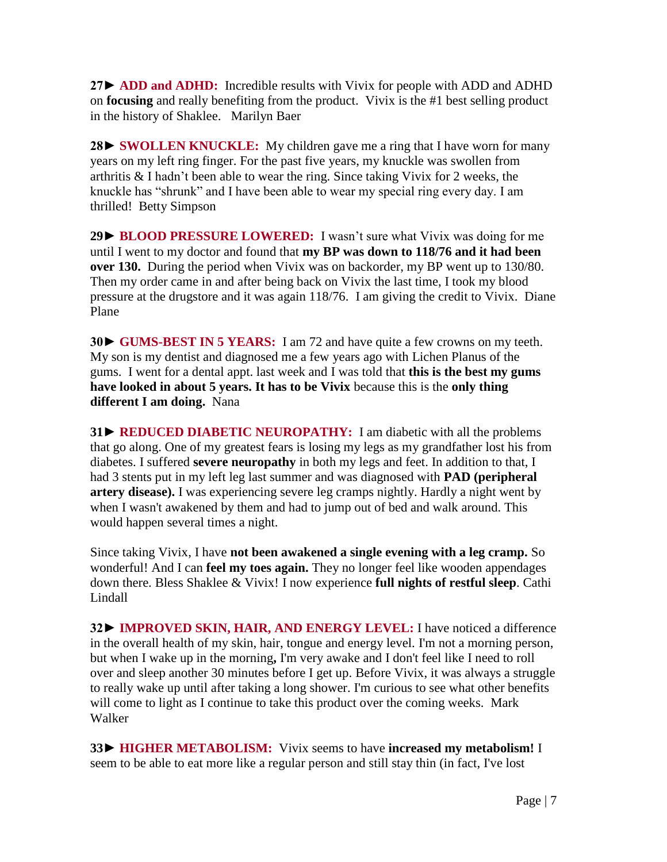**27► ADD and ADHD:** Incredible results with Vivix for people with ADD and ADHD on **focusing** and really benefiting from the product. Vivix is the #1 best selling product in the history of Shaklee. Marilyn Baer

**28► SWOLLEN KNUCKLE:** My children gave me a ring that I have worn for many years on my left ring finger. For the past five years, my knuckle was swollen from arthritis & I hadn't been able to wear the ring. Since taking Vivix for 2 weeks, the knuckle has "shrunk" and I have been able to wear my special ring every day. I am thrilled! Betty Simpson

**29► BLOOD PRESSURE LOWERED:** I wasn't sure what Vivix was doing for me until I went to my doctor and found that **my BP was down to 118/76 and it had been over 130.** During the period when Vivix was on backorder, my BP went up to 130/80. Then my order came in and after being back on Vivix the last time, I took my blood pressure at the drugstore and it was again 118/76. I am giving the credit to Vivix. Diane Plane

**30► GUMS-BEST IN 5 YEARS:** I am 72 and have quite a few crowns on my teeth. My son is my dentist and diagnosed me a few years ago with Lichen Planus of the gums. I went for a dental appt. last week and I was told that **this is the best my gums have looked in about 5 years. It has to be Vivix** because this is the **only thing different I am doing.** Nana

**31► REDUCED DIABETIC NEUROPATHY:** I am diabetic with all the problems that go along. One of my greatest fears is losing my legs as my grandfather lost his from diabetes. I suffered **severe neuropathy** in both my legs and feet. In addition to that, I had 3 stents put in my left leg last summer and was diagnosed with **PAD (peripheral artery disease).** I was experiencing severe leg cramps nightly. Hardly a night went by when I wasn't awakened by them and had to jump out of bed and walk around. This would happen several times a night.

Since taking Vivix, I have **not been awakened a single evening with a leg cramp.** So wonderful! And I can **feel my toes again.** They no longer feel like wooden appendages down there. Bless Shaklee & Vivix! I now experience **full nights of restful sleep**. Cathi Lindall

**32► IMPROVED SKIN, HAIR, AND ENERGY LEVEL:** I have noticed a difference in the overall health of my skin, hair, tongue and energy level. I'm not a morning person, but when I wake up in the morning**,** I'm very awake and I don't feel like I need to roll over and sleep another 30 minutes before I get up. Before Vivix, it was always a struggle to really wake up until after taking a long shower. I'm curious to see what other benefits will come to light as I continue to take this product over the coming weeks. Mark Walker

**33► HIGHER METABOLISM:** Vivix seems to have **increased my metabolism!** I seem to be able to eat more like a regular person and still stay thin (in fact, I've lost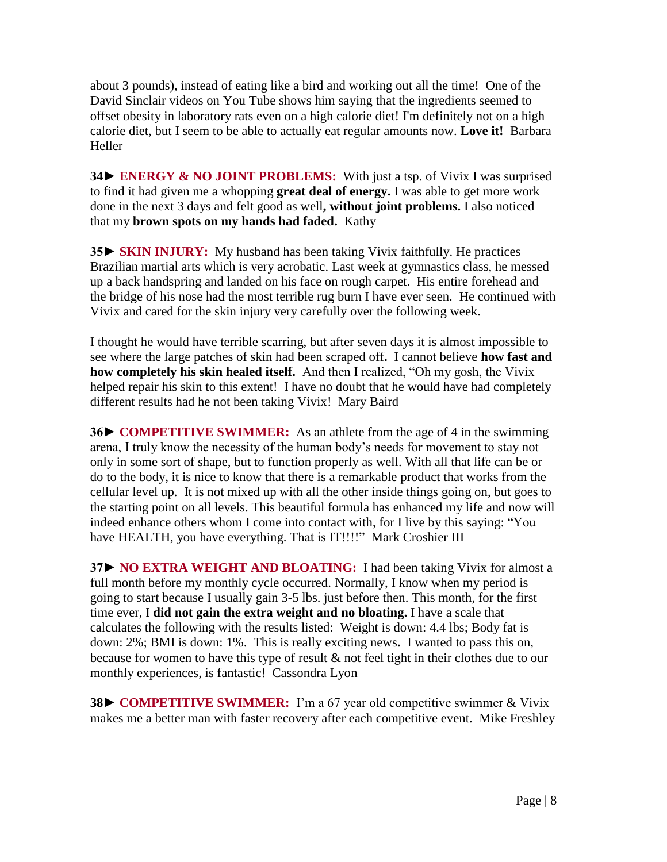about 3 pounds), instead of eating like a bird and working out all the time! One of the David Sinclair videos on You Tube shows him saying that the ingredients seemed to offset obesity in laboratory rats even on a high calorie diet! I'm definitely not on a high calorie diet, but I seem to be able to actually eat regular amounts now. **Love it!** Barbara Heller

**34► ENERGY & NO JOINT PROBLEMS:** With just a tsp. of Vivix I was surprised to find it had given me a whopping **great deal of energy.** I was able to get more work done in the next 3 days and felt good as well**, without joint problems.** I also noticed that my **brown spots on my hands had faded.** Kathy

**35► SKIN INJURY:** My husband has been taking Vivix faithfully. He practices Brazilian martial arts which is very acrobatic. Last week at gymnastics class, he messed up a back handspring and landed on his face on rough carpet. His entire forehead and the bridge of his nose had the most terrible rug burn I have ever seen. He continued with Vivix and cared for the skin injury very carefully over the following week.

I thought he would have terrible scarring, but after seven days it is almost impossible to see where the large patches of skin had been scraped off**.** I cannot believe **how fast and how completely his skin healed itself.** And then I realized, "Oh my gosh, the Vivix helped repair his skin to this extent! I have no doubt that he would have had completely different results had he not been taking Vivix! Mary Baird

**36► COMPETITIVE SWIMMER:** As an athlete from the age of 4 in the swimming arena, I truly know the necessity of the human body's needs for movement to stay not only in some sort of shape, but to function properly as well. With all that life can be or do to the body, it is nice to know that there is a remarkable product that works from the cellular level up. It is not mixed up with all the other inside things going on, but goes to the starting point on all levels. This beautiful formula has enhanced my life and now will indeed enhance others whom I come into contact with, for I live by this saying: "You have HEALTH, you have everything. That is IT!!!!" Mark Croshier III

**37► NO EXTRA WEIGHT AND BLOATING:** I had been taking Vivix for almost a full month before my monthly cycle occurred. Normally, I know when my period is going to start because I usually gain 3-5 lbs. just before then. This month, for the first time ever, I **did not gain the extra weight and no bloating.** I have a scale that calculates the following with the results listed: Weight is down: 4.4 lbs; Body fat is down: 2%; BMI is down: 1%. This is really exciting news**.** I wanted to pass this on, because for women to have this type of result & not feel tight in their clothes due to our monthly experiences, is fantastic! Cassondra Lyon

**38► COMPETITIVE SWIMMER:** I'm a 67 year old competitive swimmer & Vivix makes me a better man with faster recovery after each competitive event. Mike Freshley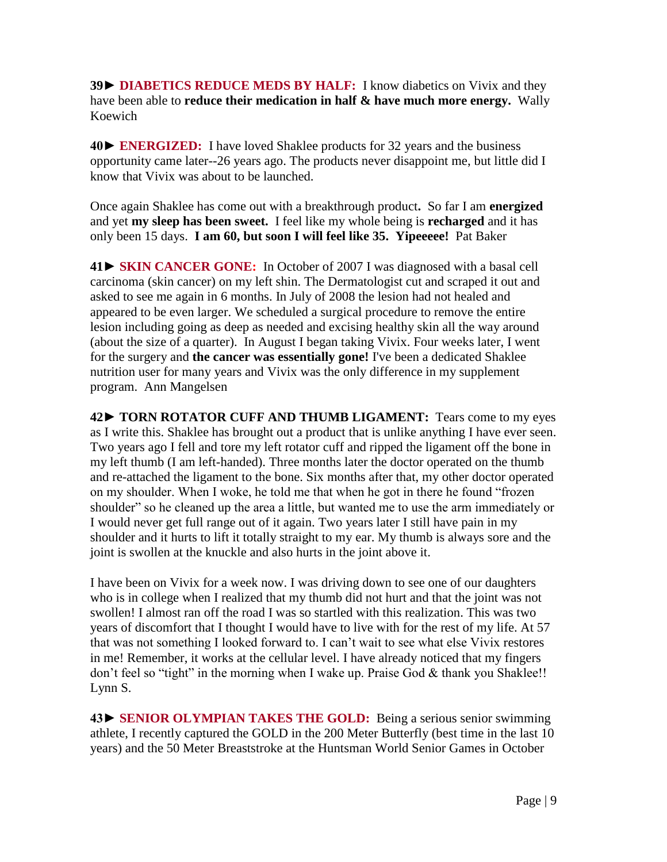**39**► **DIABETICS REDUCE MEDS BY HALF:** I know diabetics on Vivix and they have been able to **reduce their medication in half & have much more energy.** Wally Koewich

**40► ENERGIZED:** I have loved Shaklee products for 32 years and the business opportunity came later--26 years ago. The products never disappoint me, but little did I know that Vivix was about to be launched.

Once again Shaklee has come out with a breakthrough product**.** So far I am **energized**  and yet **my sleep has been sweet.** I feel like my whole being is **recharged** and it has only been 15 days. **I am 60, but soon I will feel like 35. Yipeeeee!** Pat Baker

**41► SKIN CANCER GONE:** In October of 2007 I was diagnosed with a basal cell carcinoma (skin cancer) on my left shin. The Dermatologist cut and scraped it out and asked to see me again in 6 months. In July of 2008 the lesion had not healed and appeared to be even larger. We scheduled a surgical procedure to remove the entire lesion including going as deep as needed and excising healthy skin all the way around (about the size of a quarter). In August I began taking Vivix. Four weeks later, I went for the surgery and **the cancer was essentially gone!** I've been a dedicated Shaklee nutrition user for many years and Vivix was the only difference in my supplement program. Ann Mangelsen

**42► TORN ROTATOR CUFF AND THUMB LIGAMENT:** Tears come to my eyes as I write this. Shaklee has brought out a product that is unlike anything I have ever seen. Two years ago I fell and tore my left rotator cuff and ripped the ligament off the bone in my left thumb (I am left-handed). Three months later the doctor operated on the thumb and re-attached the ligament to the bone. Six months after that, my other doctor operated on my shoulder. When I woke, he told me that when he got in there he found "frozen shoulder" so he cleaned up the area a little, but wanted me to use the arm immediately or I would never get full range out of it again. Two years later I still have pain in my shoulder and it hurts to lift it totally straight to my ear. My thumb is always sore and the joint is swollen at the knuckle and also hurts in the joint above it.

I have been on Vivix for a week now. I was driving down to see one of our daughters who is in college when I realized that my thumb did not hurt and that the joint was not swollen! I almost ran off the road I was so startled with this realization. This was two years of discomfort that I thought I would have to live with for the rest of my life. At 57 that was not something I looked forward to. I can't wait to see what else Vivix restores in me! Remember, it works at the cellular level. I have already noticed that my fingers don't feel so "tight" in the morning when I wake up. Praise God & thank you Shaklee!! Lynn S.

**43► SENIOR OLYMPIAN TAKES THE GOLD:** Being a serious senior swimming athlete, I recently captured the GOLD in the 200 Meter Butterfly (best time in the last 10 years) and the 50 Meter Breaststroke at the Huntsman World Senior Games in October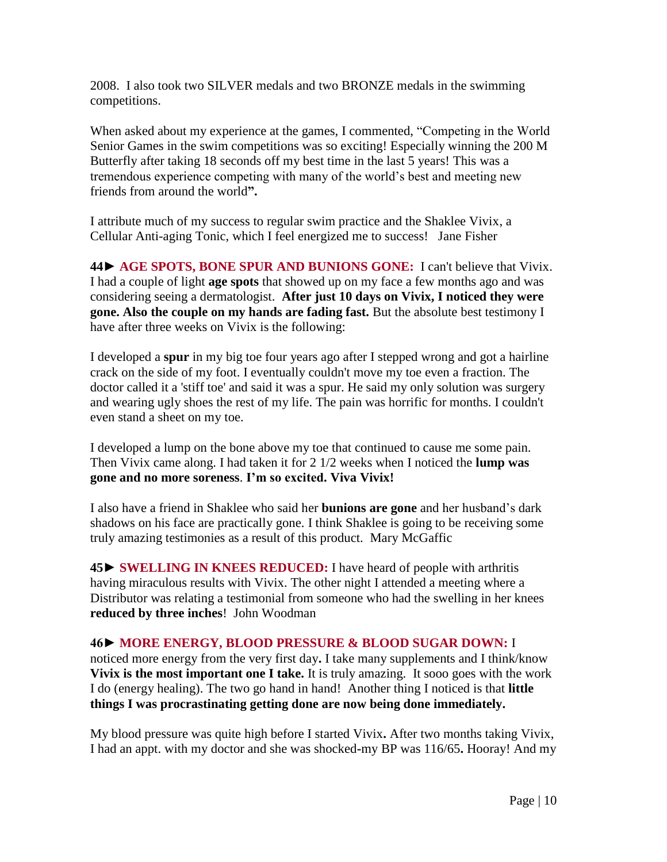2008. I also took two SILVER medals and two BRONZE medals in the swimming competitions.

When asked about my experience at the games, I commented, "Competing in the World Senior Games in the swim competitions was so exciting! Especially winning the 200 M Butterfly after taking 18 seconds off my best time in the last 5 years! This was a tremendous experience competing with many of the world's best and meeting new friends from around the world**".**

I attribute much of my success to regular swim practice and the Shaklee Vivix, a Cellular Anti-aging Tonic, which I feel energized me to success!Jane Fisher

**44► AGE SPOTS, BONE SPUR AND BUNIONS GONE:** I can't believe that Vivix. I had a couple of light **age spots** that showed up on my face a few months ago and was considering seeing a dermatologist. **After just 10 days on Vivix, I noticed they were gone. Also the couple on my hands are fading fast.** But the absolute best testimony I have after three weeks on Vivix is the following:

I developed a **spur** in my big toe four years ago after I stepped wrong and got a hairline crack on the side of my foot. I eventually couldn't move my toe even a fraction. The doctor called it a 'stiff toe' and said it was a spur. He said my only solution was surgery and wearing ugly shoes the rest of my life. The pain was horrific for months. I couldn't even stand a sheet on my toe.

I developed a lump on the bone above my toe that continued to cause me some pain. Then Vivix came along. I had taken it for 2 1/2 weeks when I noticed the **lump was gone and no more soreness**. **I'm so excited. Viva Vivix!**

I also have a friend in Shaklee who said her **bunions are gone** and her husband's dark shadows on his face are practically gone. I think Shaklee is going to be receiving some truly amazing testimonies as a result of this product. Mary McGaffic

**45► SWELLING IN KNEES REDUCED:** I have heard of people with arthritis having miraculous results with Vivix. The other night I attended a meeting where a Distributor was relating a testimonial from someone who had the swelling in her knees **reduced by three inches**! John Woodman

### **46► MORE ENERGY, BLOOD PRESSURE & BLOOD SUGAR DOWN:** I

noticed more energy from the very first day**.** I take many supplements and I think/know **Vivix is the most important one I take.** It is truly amazing. It sooo goes with the work I do (energy healing). The two go hand in hand! Another thing I noticed is that **little things I was procrastinating getting done are now being done immediately.**

My blood pressure was quite high before I started Vivix**.** After two months taking Vivix, I had an appt. with my doctor and she was shocked**-**my BP was 116/65**.** Hooray! And my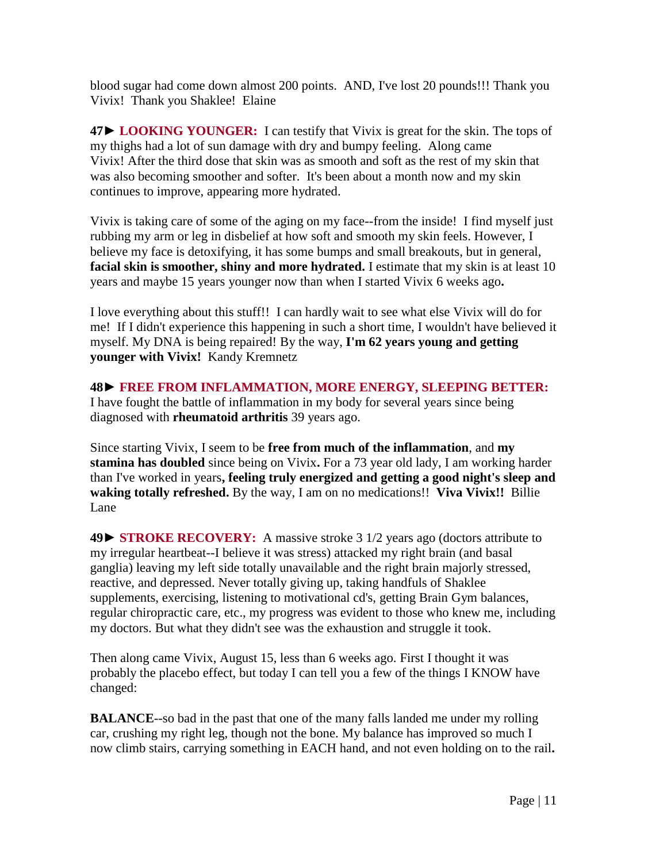blood sugar had come down almost 200 points. AND, I've lost 20 pounds!!! Thank you Vivix! Thank you Shaklee! Elaine

**47► LOOKING YOUNGER:** I can testify that Vivix is great for the skin. The tops of my thighs had a lot of sun damage with dry and bumpy feeling. Along came Vivix! After the third dose that skin was as smooth and soft as the rest of my skin that was also becoming smoother and softer. It's been about a month now and my skin continues to improve, appearing more hydrated.

Vivix is taking care of some of the aging on my face--from the inside! I find myself just rubbing my arm or leg in disbelief at how soft and smooth my skin feels. However, I believe my face is detoxifying, it has some bumps and small breakouts, but in general, **facial skin is smoother, shiny and more hydrated.** I estimate that my skin is at least 10 years and maybe 15 years younger now than when I started Vivix 6 weeks ago**.**

I love everything about this stuff!! I can hardly wait to see what else Vivix will do for me! If I didn't experience this happening in such a short time, I wouldn't have believed it myself. My DNA is being repaired! By the way, **I'm 62 years young and getting younger with Vivix!** Kandy Kremnetz

**48► FREE FROM INFLAMMATION, MORE ENERGY, SLEEPING BETTER:** I have fought the battle of inflammation in my body for several years since being diagnosed with **rheumatoid arthritis** 39 years ago.

Since starting Vivix, I seem to be **free from much of the inflammation**, and **my stamina has doubled** since being on Vivix**.** For a 73 year old lady, I am working harder than I've worked in years**, feeling truly energized and getting a good night's sleep and waking totally refreshed.** By the way, I am on no medications!! **Viva Vivix!!** Billie Lane

**49► STROKE RECOVERY:** A massive stroke 3 1/2 years ago (doctors attribute to my irregular heartbeat--I believe it was stress) attacked my right brain (and basal ganglia) leaving my left side totally unavailable and the right brain majorly stressed, reactive, and depressed. Never totally giving up, taking handfuls of Shaklee supplements, exercising, listening to motivational cd's, getting Brain Gym balances, regular chiropractic care, etc., my progress was evident to those who knew me, including my doctors. But what they didn't see was the exhaustion and struggle it took.

Then along came Vivix, August 15, less than 6 weeks ago. First I thought it was probably the placebo effect, but today I can tell you a few of the things I KNOW have changed:

**BALANCE**--so bad in the past that one of the many falls landed me under my rolling car, crushing my right leg, though not the bone. My balance has improved so much I now climb stairs, carrying something in EACH hand, and not even holding on to the rail**.**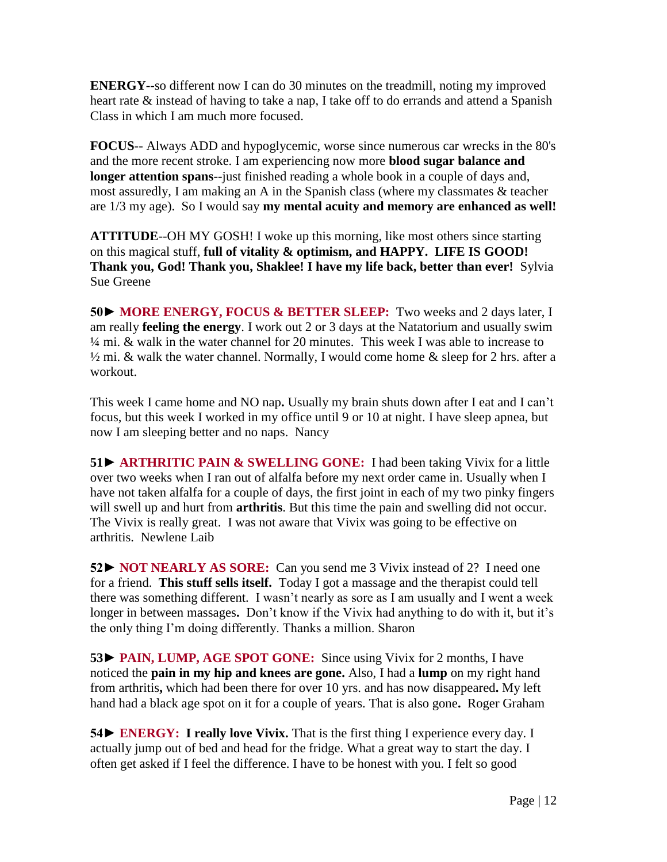**ENERGY**--so different now I can do 30 minutes on the treadmill, noting my improved heart rate & instead of having to take a nap, I take off to do errands and attend a Spanish Class in which I am much more focused.

**FOCUS**-- Always ADD and hypoglycemic, worse since numerous car wrecks in the 80's and the more recent stroke. I am experiencing now more **blood sugar balance and longer attention spans**--just finished reading a whole book in a couple of days and, most assuredly, I am making an A in the Spanish class (where my classmates & teacher are 1/3 my age). So I would say **my mental acuity and memory are enhanced as well!** 

**ATTITUDE**--OH MY GOSH! I woke up this morning, like most others since starting on this magical stuff, **full of vitality & optimism, and HAPPY. LIFE IS GOOD! Thank you, God! Thank you, Shaklee! I have my life back, better than ever!** Sylvia Sue Greene

**50► MORE ENERGY, FOCUS & BETTER SLEEP:** Two weeks and 2 days later, I am really **feeling the energy**. I work out 2 or 3 days at the Natatorium and usually swim ¼ mi. & walk in the water channel for 20 minutes. This week I was able to increase to  $\frac{1}{2}$  mi. & walk the water channel. Normally, I would come home & sleep for 2 hrs. after a workout.

This week I came home and NO nap**.** Usually my brain shuts down after I eat and I can't focus, but this week I worked in my office until 9 or 10 at night. I have sleep apnea, but now I am sleeping better and no naps. Nancy

**51► ARTHRITIC PAIN & SWELLING GONE:** I had been taking Vivix for a little over two weeks when I ran out of alfalfa before my next order came in. Usually when I have not taken alfalfa for a couple of days, the first joint in each of my two pinky fingers will swell up and hurt from **arthritis**. But this time the pain and swelling did not occur. The Vivix is really great. I was not aware that Vivix was going to be effective on arthritis. Newlene Laib

**52► NOT NEARLY AS SORE:** Can you send me 3 Vivix instead of 2? I need one for a friend. **This stuff sells itself.** Today I got a massage and the therapist could tell there was something different. I wasn't nearly as sore as I am usually and I went a week longer in between massages**.** Don't know if the Vivix had anything to do with it, but it's the only thing I'm doing differently. Thanks a million. Sharon

**53► PAIN, LUMP, AGE SPOT GONE:** Since using Vivix for 2 months, I have noticed the **pain in my hip and knees are gone.** Also, I had a **lump** on my right hand from arthritis**,** which had been there for over 10 yrs. and has now disappeared**.** My left hand had a black age spot on it for a couple of years. That is also gone**.** Roger Graham

**54► ENERGY: I really love Vivix.** That is the first thing I experience every day. I actually jump out of bed and head for the fridge. What a great way to start the day. I often get asked if I feel the difference. I have to be honest with you. I felt so good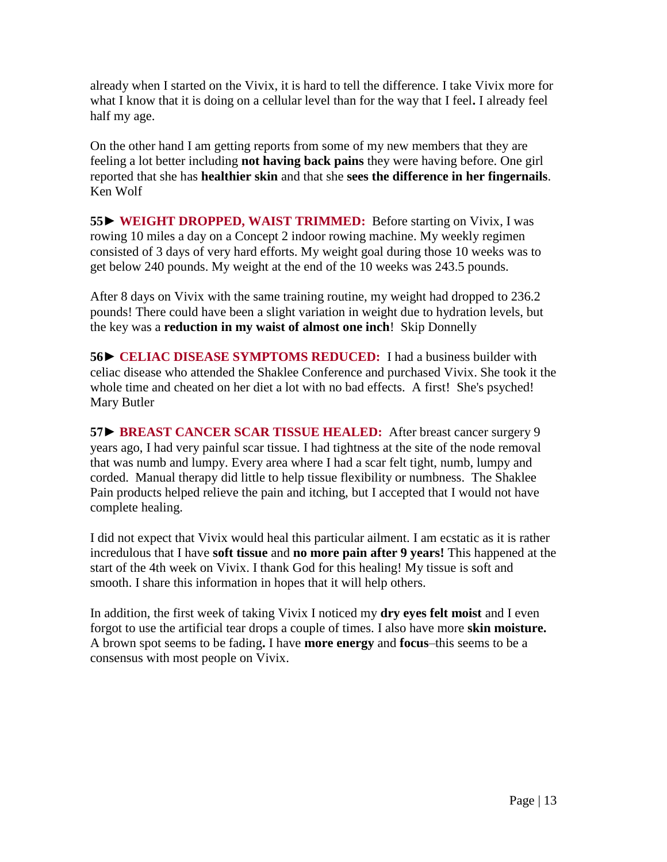already when I started on the Vivix, it is hard to tell the difference. I take Vivix more for what I know that it is doing on a cellular level than for the way that I feel**.** I already feel half my age.

On the other hand I am getting reports from some of my new members that they are feeling a lot better including **not having back pains** they were having before. One girl reported that she has **healthier skin** and that she **sees the difference in her fingernails**. Ken Wolf

**55**► **WEIGHT DROPPED, WAIST TRIMMED:** Before starting on Vivix, I was rowing 10 miles a day on a Concept 2 indoor rowing machine. My weekly regimen consisted of 3 days of very hard efforts. My weight goal during those 10 weeks was to get below 240 pounds. My weight at the end of the 10 weeks was 243.5 pounds.

After 8 days on Vivix with the same training routine, my weight had dropped to 236.2 pounds! There could have been a slight variation in weight due to hydration levels, but the key was a **reduction in my waist of almost one inch**! Skip Donnelly

**56► CELIAC DISEASE SYMPTOMS REDUCED:** I had a business builder with celiac disease who attended the Shaklee Conference and purchased Vivix. She took it the whole time and cheated on her diet a lot with no bad effects. A first! She's psyched! Mary Butler

**57► BREAST CANCER SCAR TISSUE HEALED:** After breast cancer surgery 9 years ago, I had very painful scar tissue. I had tightness at the site of the node removal that was numb and lumpy. Every area where I had a scar felt tight, numb, lumpy and corded. Manual therapy did little to help tissue flexibility or numbness. The Shaklee Pain products helped relieve the pain and itching, but I accepted that I would not have complete healing.

I did not expect that Vivix would heal this particular ailment. I am ecstatic as it is rather incredulous that I have **soft tissue** and **no more pain after 9 years!** This happened at the start of the 4th week on Vivix. I thank God for this healing! My tissue is soft and smooth. I share this information in hopes that it will help others.

In addition, the first week of taking Vivix I noticed my **dry eyes felt moist** and I even forgot to use the artificial tear drops a couple of times. I also have more **skin moisture.**  A brown spot seems to be fading**.** I have **more energy** and **focus**–this seems to be a consensus with most people on Vivix.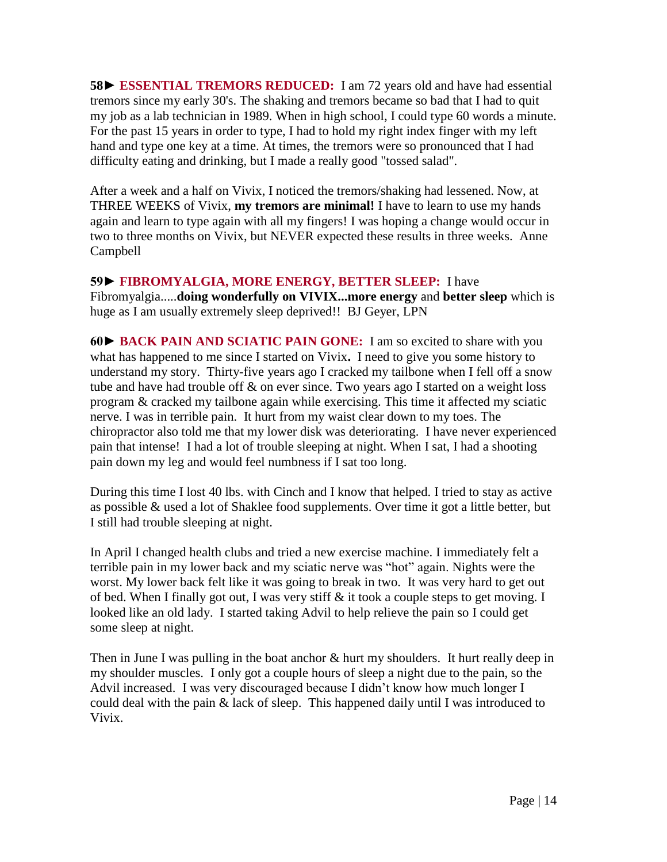**58► ESSENTIAL TREMORS REDUCED:** I am 72 years old and have had essential tremors since my early 30's. The shaking and tremors became so bad that I had to quit my job as a lab technician in 1989. When in high school, I could type 60 words a minute. For the past 15 years in order to type, I had to hold my right index finger with my left hand and type one key at a time. At times, the tremors were so pronounced that I had difficulty eating and drinking, but I made a really good "tossed salad".

After a week and a half on Vivix, I noticed the tremors/shaking had lessened. Now, at THREE WEEKS of Vivix, **my tremors are minimal!** I have to learn to use my hands again and learn to type again with all my fingers! I was hoping a change would occur in two to three months on Vivix, but NEVER expected these results in three weeks. Anne Campbell

**59► FIBROMYALGIA, MORE ENERGY, BETTER SLEEP:** I have Fibromyalgia.....**doing wonderfully on VIVIX...more energy** and **better sleep** which is huge as I am usually extremely sleep deprived!! BJ Geyer, LPN

**60► BACK PAIN AND SCIATIC PAIN GONE:** I am so excited to share with you what has happened to me since I started on Vivix**.** I need to give you some history to understand my story. Thirty-five years ago I cracked my tailbone when I fell off a snow tube and have had trouble off & on ever since. Two years ago I started on a weight loss program & cracked my tailbone again while exercising. This time it affected my sciatic nerve. I was in terrible pain. It hurt from my waist clear down to my toes. The chiropractor also told me that my lower disk was deteriorating. I have never experienced pain that intense! I had a lot of trouble sleeping at night. When I sat, I had a shooting pain down my leg and would feel numbness if I sat too long.

During this time I lost 40 lbs. with Cinch and I know that helped. I tried to stay as active as possible & used a lot of Shaklee food supplements. Over time it got a little better, but I still had trouble sleeping at night.

In April I changed health clubs and tried a new exercise machine. I immediately felt a terrible pain in my lower back and my sciatic nerve was "hot" again. Nights were the worst. My lower back felt like it was going to break in two. It was very hard to get out of bed. When I finally got out, I was very stiff & it took a couple steps to get moving. I looked like an old lady. I started taking Advil to help relieve the pain so I could get some sleep at night.

Then in June I was pulling in the boat anchor  $\&$  hurt my shoulders. It hurt really deep in my shoulder muscles. I only got a couple hours of sleep a night due to the pain, so the Advil increased. I was very discouraged because I didn't know how much longer I could deal with the pain & lack of sleep. This happened daily until I was introduced to Vivix.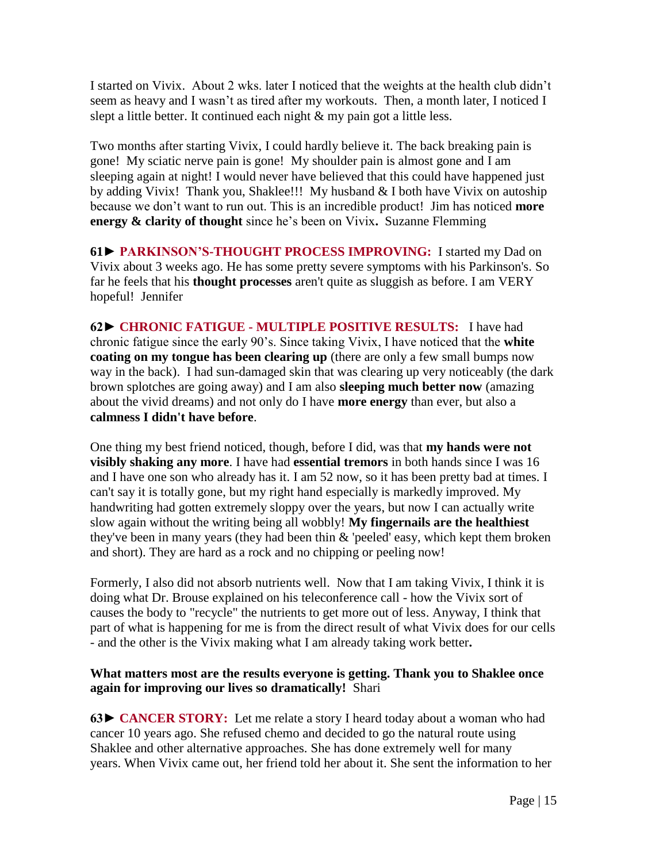I started on Vivix. About 2 wks. later I noticed that the weights at the health club didn't seem as heavy and I wasn't as tired after my workouts. Then, a month later, I noticed I slept a little better. It continued each night & my pain got a little less.

Two months after starting Vivix, I could hardly believe it. The back breaking pain is gone! My sciatic nerve pain is gone! My shoulder pain is almost gone and I am sleeping again at night! I would never have believed that this could have happened just by adding Vivix! Thank you, Shaklee!!! My husband & I both have Vivix on autoship because we don't want to run out. This is an incredible product! Jim has noticed **more energy & clarity of thought** since he's been on Vivix**.** Suzanne Flemming

**61► PARKINSON'S-THOUGHT PROCESS IMPROVING:** I started my Dad on Vivix about 3 weeks ago. He has some pretty severe symptoms with his Parkinson's. So far he feels that his **thought processes** aren't quite as sluggish as before. I am VERY hopeful! Jennifer

**62► CHRONIC FATIGUE - MULTIPLE POSITIVE RESULTS:** I have had chronic fatigue since the early 90's. Since taking Vivix, I have noticed that the **white coating on my tongue has been clearing up** (there are only a few small bumps now way in the back). I had sun-damaged skin that was clearing up very noticeably (the dark brown splotches are going away) and I am also **sleeping much better now** (amazing about the vivid dreams) and not only do I have **more energy** than ever, but also a **calmness I didn't have before**.

One thing my best friend noticed, though, before I did, was that **my hands were not visibly shaking any more**. I have had **essential tremors** in both hands since I was 16 and I have one son who already has it. I am 52 now, so it has been pretty bad at times. I can't say it is totally gone, but my right hand especially is markedly improved. My handwriting had gotten extremely sloppy over the years, but now I can actually write slow again without the writing being all wobbly! **My fingernails are the healthiest** they've been in many years (they had been thin & 'peeled' easy, which kept them broken and short). They are hard as a rock and no chipping or peeling now!

Formerly, I also did not absorb nutrients well. Now that I am taking Vivix, I think it is doing what Dr. Brouse explained on his teleconference call - how the Vivix sort of causes the body to "recycle" the nutrients to get more out of less. Anyway, I think that part of what is happening for me is from the direct result of what Vivix does for our cells - and the other is the Vivix making what I am already taking work better**.**

#### **What matters most are the results everyone is getting. Thank you to Shaklee once again for improving our lives so dramatically!** Shari

**63► CANCER STORY:** Let me relate a story I heard today about a woman who had cancer 10 years ago. She refused chemo and decided to go the natural route using Shaklee and other alternative approaches. She has done extremely well for many years. When Vivix came out, her friend told her about it. She sent the information to her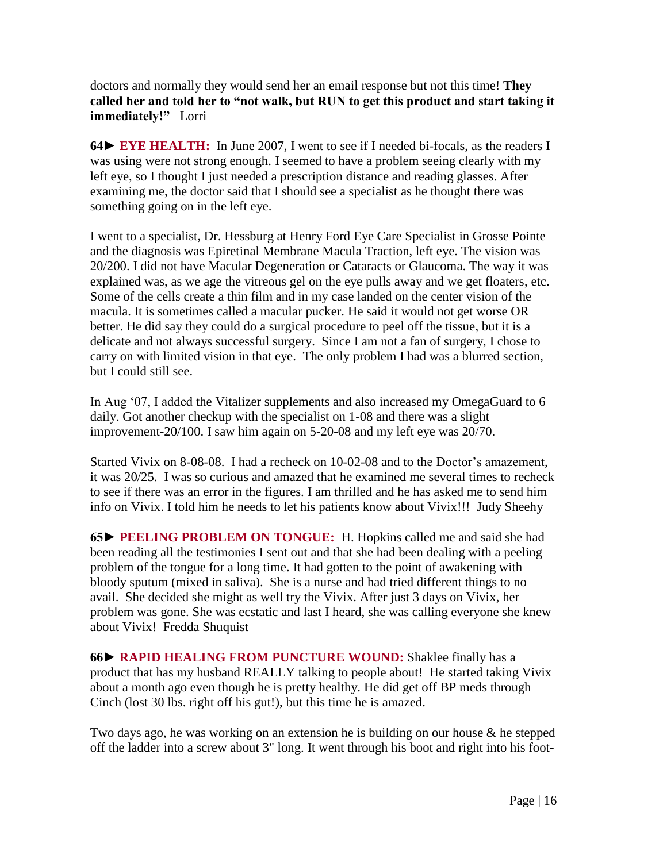doctors and normally they would send her an email response but not this time! **They called her and told her to "not walk, but RUN to get this product and start taking it immediately!"** Lorri

**64► EYE HEALTH:** In June 2007, I went to see if I needed bi-focals, as the readers I was using were not strong enough. I seemed to have a problem seeing clearly with my left eye, so I thought I just needed a prescription distance and reading glasses. After examining me, the doctor said that I should see a specialist as he thought there was something going on in the left eye.

I went to a specialist, Dr. Hessburg at Henry Ford Eye Care Specialist in Grosse Pointe and the diagnosis was Epiretinal Membrane Macula Traction, left eye. The vision was 20/200. I did not have Macular Degeneration or Cataracts or Glaucoma. The way it was explained was, as we age the vitreous gel on the eye pulls away and we get floaters, etc. Some of the cells create a thin film and in my case landed on the center vision of the macula. It is sometimes called a macular pucker. He said it would not get worse OR better. He did say they could do a surgical procedure to peel off the tissue, but it is a delicate and not always successful surgery. Since I am not a fan of surgery, I chose to carry on with limited vision in that eye. The only problem I had was a blurred section, but I could still see.

In Aug '07, I added the Vitalizer supplements and also increased my OmegaGuard to 6 daily. Got another checkup with the specialist on 1-08 and there was a slight improvement-20/100. I saw him again on 5-20-08 and my left eye was 20/70.

Started Vivix on 8-08-08. I had a recheck on 10-02-08 and to the Doctor's amazement, it was 20/25. I was so curious and amazed that he examined me several times to recheck to see if there was an error in the figures. I am thrilled and he has asked me to send him info on Vivix. I told him he needs to let his patients know about Vivix!!! Judy Sheehy

**65► PEELING PROBLEM ON TONGUE:** H. Hopkins called me and said she had been reading all the testimonies I sent out and that she had been dealing with a peeling problem of the tongue for a long time. It had gotten to the point of awakening with bloody sputum (mixed in saliva). She is a nurse and had tried different things to no avail. She decided she might as well try the Vivix. After just 3 days on Vivix, her problem was gone. She was ecstatic and last I heard, she was calling everyone she knew about Vivix! Fredda Shuquist

**66► RAPID HEALING FROM PUNCTURE WOUND:** Shaklee finally has a product that has my husband REALLY talking to people about! He started taking Vivix about a month ago even though he is pretty healthy. He did get off BP meds through Cinch (lost 30 lbs. right off his gut!), but this time he is amazed.

Two days ago, he was working on an extension he is building on our house  $\&$  he stepped off the ladder into a screw about 3" long. It went through his boot and right into his foot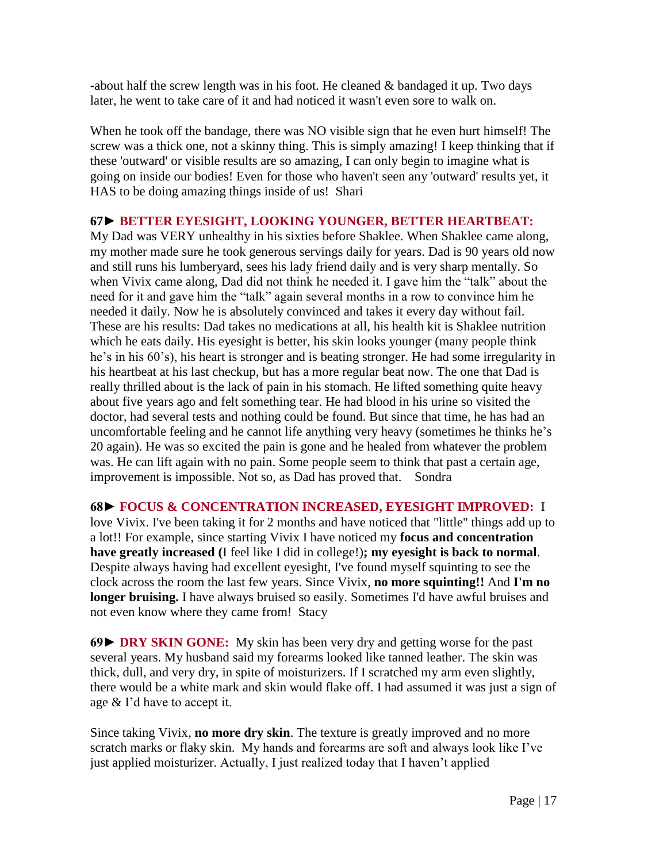-about half the screw length was in his foot. He cleaned & bandaged it up. Two days later, he went to take care of it and had noticed it wasn't even sore to walk on.

When he took off the bandage, there was NO visible sign that he even hurt himself! The screw was a thick one, not a skinny thing. This is simply amazing! I keep thinking that if these 'outward' or visible results are so amazing, I can only begin to imagine what is going on inside our bodies! Even for those who haven't seen any 'outward' results yet, it HAS to be doing amazing things inside of us! Shari

#### **67**► **BETTER EYESIGHT, LOOKING YOUNGER, BETTER HEARTBEAT:**

My Dad was VERY unhealthy in his sixties before Shaklee. When Shaklee came along, my mother made sure he took generous servings daily for years. Dad is 90 years old now and still runs his lumberyard, sees his lady friend daily and is very sharp mentally. So when Vivix came along, Dad did not think he needed it. I gave him the "talk" about the need for it and gave him the "talk" again several months in a row to convince him he needed it daily. Now he is absolutely convinced and takes it every day without fail. These are his results: Dad takes no medications at all, his health kit is Shaklee nutrition which he eats daily. His eyesight is better, his skin looks younger (many people think he's in his 60's), his heart is stronger and is beating stronger. He had some irregularity in his heartbeat at his last checkup, but has a more regular beat now. The one that Dad is really thrilled about is the lack of pain in his stomach. He lifted something quite heavy about five years ago and felt something tear. He had blood in his urine so visited the doctor, had several tests and nothing could be found. But since that time, he has had an uncomfortable feeling and he cannot life anything very heavy (sometimes he thinks he's 20 again). He was so excited the pain is gone and he healed from whatever the problem was. He can lift again with no pain. Some people seem to think that past a certain age, improvement is impossible. Not so, as Dad has proved that. Sondra

### **68► FOCUS & CONCENTRATION INCREASED, EYESIGHT IMPROVED:** I

love Vivix. I've been taking it for 2 months and have noticed that "little" things add up to a lot!! For example, since starting Vivix I have noticed my **focus and concentration have greatly increased (**I feel like I did in college!)**; my eyesight is back to normal**. Despite always having had excellent eyesight, I've found myself squinting to see the clock across the room the last few years. Since Vivix, **no more squinting!!** And **I'm no longer bruising.** I have always bruised so easily. Sometimes I'd have awful bruises and not even know where they came from! Stacy

**69► DRY SKIN GONE:** My skin has been very dry and getting worse for the past several years. My husband said my forearms looked like tanned leather. The skin was thick, dull, and very dry, in spite of moisturizers. If I scratched my arm even slightly, there would be a white mark and skin would flake off. I had assumed it was just a sign of age & I'd have to accept it.

Since taking Vivix, **no more dry skin**. The texture is greatly improved and no more scratch marks or flaky skin. My hands and forearms are soft and always look like I've just applied moisturizer. Actually, I just realized today that I haven't applied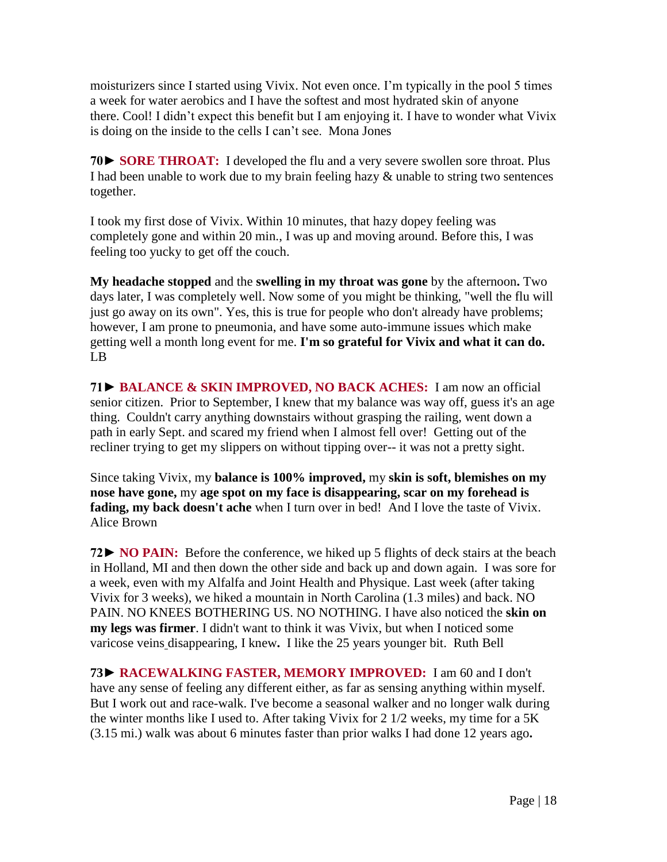moisturizers since I started using Vivix. Not even once. I'm typically in the pool 5 times a week for water aerobics and I have the softest and most hydrated skin of anyone there. Cool! I didn't expect this benefit but I am enjoying it. I have to wonder what Vivix is doing on the inside to the cells I can't see. Mona Jones

**70► SORE THROAT:** I developed the flu and a very severe swollen sore throat. Plus I had been unable to work due to my brain feeling hazy & unable to string two sentences together.

I took my first dose of Vivix. Within 10 minutes, that hazy dopey feeling was completely gone and within 20 min., I was up and moving around. Before this, I was feeling too yucky to get off the couch.

**My headache stopped** and the **swelling in my throat was gone** by the afternoon**.** Two days later, I was completely well. Now some of you might be thinking, "well the flu will just go away on its own". Yes, this is true for people who don't already have problems; however, I am prone to pneumonia, and have some auto-immune issues which make getting well a month long event for me. **I'm so grateful for Vivix and what it can do.** LB

**71► BALANCE & SKIN IMPROVED, NO BACK ACHES:** I am now an official senior citizen. Prior to September, I knew that my balance was way off, guess it's an age thing. Couldn't carry anything downstairs without grasping the railing, went down a path in early Sept. and scared my friend when I almost fell over! Getting out of the recliner trying to get my slippers on without tipping over-- it was not a pretty sight.

Since taking Vivix, my **balance is 100% improved,** my **skin is soft, blemishes on my nose have gone,** my **age spot on my face is disappearing, scar on my forehead is fading, my back doesn't ache** when I turn over in bed! And I love the taste of Vivix. Alice Brown

**72► NO PAIN:** Before the conference, we hiked up 5 flights of deck stairs at the beach in Holland, MI and then down the other side and back up and down again. I was sore for a week, even with my Alfalfa and Joint Health and Physique. Last week (after taking Vivix for 3 weeks), we hiked a mountain in North Carolina (1.3 miles) and back. NO PAIN. NO KNEES BOTHERING US. NO NOTHING. I have also noticed the **skin on my legs was firmer**. I didn't want to think it was Vivix, but when I noticed some varicose veins disappearing, I knew**.** I like the 25 years younger bit. Ruth Bell

**73► RACEWALKING FASTER, MEMORY IMPROVED:** I am 60 and I don't have any sense of feeling any different either, as far as sensing anything within myself. But I work out and race-walk. I've become a seasonal walker and no longer walk during the winter months like I used to. After taking Vivix for 2 1/2 weeks, my time for a 5K (3.15 mi.) walk was about 6 minutes faster than prior walks I had done 12 years ago**.**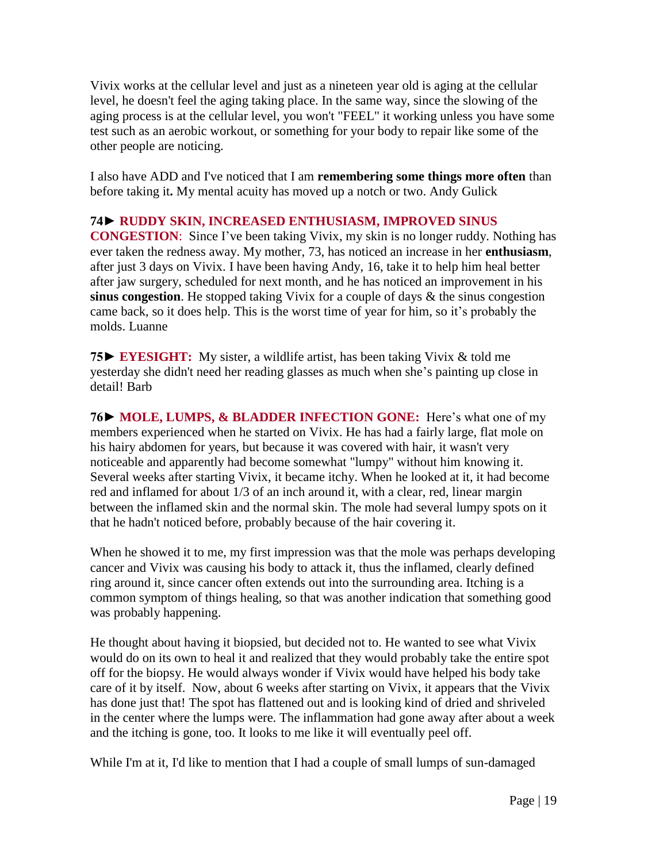Vivix works at the cellular level and just as a nineteen year old is aging at the cellular level, he doesn't feel the aging taking place. In the same way, since the slowing of the aging process is at the cellular level, you won't "FEEL" it working unless you have some test such as an aerobic workout, or something for your body to repair like some of the other people are noticing.

I also have ADD and I've noticed that I am **remembering some things more often** than before taking it**.** My mental acuity has moved up a notch or two. Andy Gulick

### **74**► **RUDDY SKIN, INCREASED ENTHUSIASM, IMPROVED SINUS**

**CONGESTION**: Since I've been taking Vivix, my skin is no longer ruddy. Nothing has ever taken the redness away. My mother, 73, has noticed an increase in her **enthusiasm**, after just 3 days on Vivix. I have been having Andy, 16, take it to help him heal better after jaw surgery, scheduled for next month, and he has noticed an improvement in his **sinus congestion**. He stopped taking Vivix for a couple of days & the sinus congestion came back, so it does help. This is the worst time of year for him, so it's probably the molds. Luanne

**75► EYESIGHT:** My sister, a wildlife artist, has been taking Vivix & told me yesterday she didn't need her reading glasses as much when she's painting up close in detail! Barb

**76► MOLE, LUMPS, & BLADDER INFECTION GONE:** Here's what one of my members experienced when he started on Vivix. He has had a fairly large, flat mole on his hairy abdomen for years, but because it was covered with hair, it wasn't very noticeable and apparently had become somewhat "lumpy" without him knowing it. Several weeks after starting Vivix, it became itchy. When he looked at it, it had become red and inflamed for about 1/3 of an inch around it, with a clear, red, linear margin between the inflamed skin and the normal skin. The mole had several lumpy spots on it that he hadn't noticed before, probably because of the hair covering it.

When he showed it to me, my first impression was that the mole was perhaps developing cancer and Vivix was causing his body to attack it, thus the inflamed, clearly defined ring around it, since cancer often extends out into the surrounding area. Itching is a common symptom of things healing, so that was another indication that something good was probably happening.

He thought about having it biopsied, but decided not to. He wanted to see what Vivix would do on its own to heal it and realized that they would probably take the entire spot off for the biopsy. He would always wonder if Vivix would have helped his body take care of it by itself. Now, about 6 weeks after starting on Vivix, it appears that the Vivix has done just that! The spot has flattened out and is looking kind of dried and shriveled in the center where the lumps were. The inflammation had gone away after about a week and the itching is gone, too. It looks to me like it will eventually peel off.

While I'm at it, I'd like to mention that I had a couple of small lumps of sun-damaged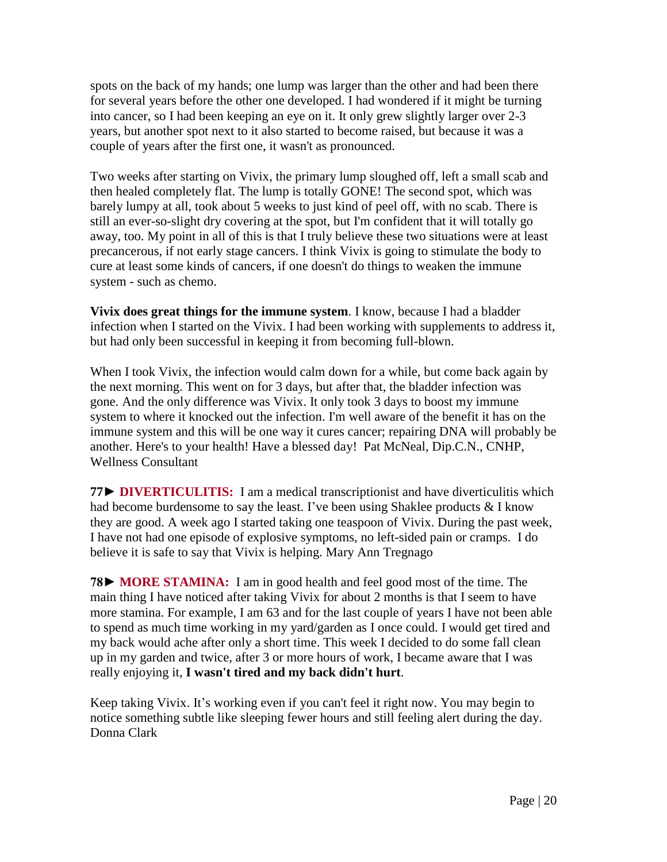spots on the back of my hands; one lump was larger than the other and had been there for several years before the other one developed. I had wondered if it might be turning into cancer, so I had been keeping an eye on it. It only grew slightly larger over 2-3 years, but another spot next to it also started to become raised, but because it was a couple of years after the first one, it wasn't as pronounced.

Two weeks after starting on Vivix, the primary lump sloughed off, left a small scab and then healed completely flat. The lump is totally GONE! The second spot, which was barely lumpy at all, took about 5 weeks to just kind of peel off, with no scab. There is still an ever-so-slight dry covering at the spot, but I'm confident that it will totally go away, too. My point in all of this is that I truly believe these two situations were at least precancerous, if not early stage cancers. I think Vivix is going to stimulate the body to cure at least some kinds of cancers, if one doesn't do things to weaken the immune system - such as chemo.

**Vivix does great things for the immune system**. I know, because I had a bladder infection when I started on the Vivix. I had been working with supplements to address it, but had only been successful in keeping it from becoming full-blown.

When I took Vivix, the infection would calm down for a while, but come back again by the next morning. This went on for 3 days, but after that, the bladder infection was gone. And the only difference was Vivix. It only took 3 days to boost my immune system to where it knocked out the infection. I'm well aware of the benefit it has on the immune system and this will be one way it cures cancer; repairing DNA will probably be another. Here's to your health! Have a blessed day! Pat McNeal, Dip.C.N., CNHP, Wellness Consultant

**77► DIVERTICULITIS:** I am a medical transcriptionist and have diverticulitis which had become burdensome to say the least. I've been using Shaklee products & I know they are good. A week ago I started taking one teaspoon of Vivix. During the past week, I have not had one episode of explosive symptoms, no left-sided pain or cramps. I do believe it is safe to say that Vivix is helping. Mary Ann Tregnago

**78► MORE STAMINA:** I am in good health and feel good most of the time. The main thing I have noticed after taking Vivix for about 2 months is that I seem to have more stamina. For example, I am 63 and for the last couple of years I have not been able to spend as much time working in my yard/garden as I once could. I would get tired and my back would ache after only a short time. This week I decided to do some fall clean up in my garden and twice, after 3 or more hours of work, I became aware that I was really enjoying it, **I wasn't tired and my back didn't hurt**.

Keep taking Vivix. It's working even if you can't feel it right now. You may begin to notice something subtle like sleeping fewer hours and still feeling alert during the day. Donna Clark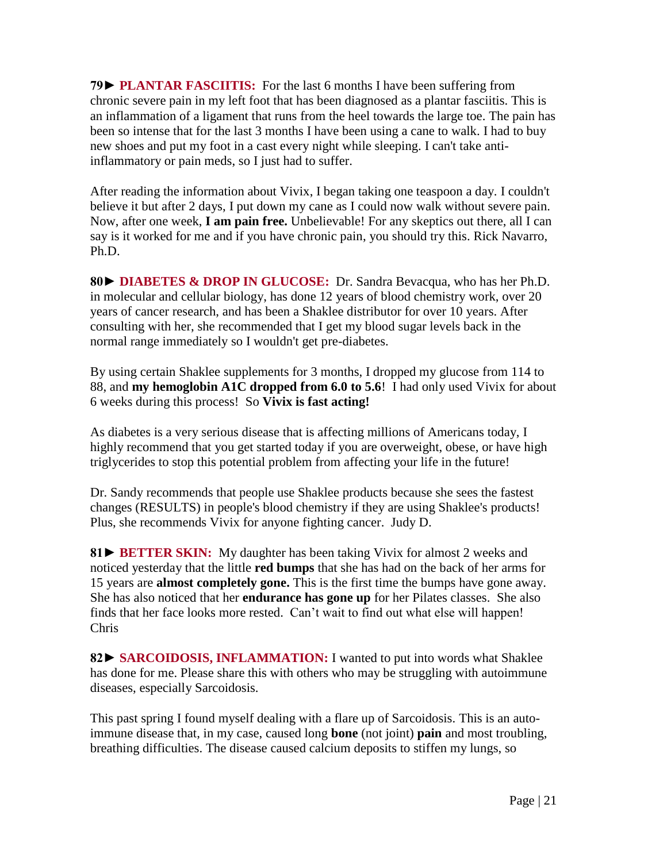**79► PLANTAR FASCIITIS:** For the last 6 months I have been suffering from chronic severe pain in my left foot that has been diagnosed as a plantar fasciitis. This is an inflammation of a ligament that runs from the heel towards the large toe. The pain has been so intense that for the last 3 months I have been using a cane to walk. I had to buy new shoes and put my foot in a cast every night while sleeping. I can't take antiinflammatory or pain meds, so I just had to suffer.

After reading the information about Vivix, I began taking one teaspoon a day. I couldn't believe it but after 2 days, I put down my cane as I could now walk without severe pain. Now, after one week, **I am pain free.** Unbelievable! For any skeptics out there, all I can say is it worked for me and if you have chronic pain, you should try this. Rick Navarro, Ph.D.

**80► DIABETES & DROP IN GLUCOSE:** Dr. Sandra Bevacqua, who has her Ph.D. in molecular and cellular biology, has done 12 years of blood chemistry work, over 20 years of cancer research, and has been a Shaklee distributor for over 10 years. After consulting with her, she recommended that I get my blood sugar levels back in the normal range immediately so I wouldn't get pre-diabetes.

By using certain Shaklee supplements for 3 months, I dropped my glucose from 114 to 88, and **my hemoglobin A1C dropped from 6.0 to 5.6**! I had only used Vivix for about 6 weeks during this process! So **Vivix is fast acting!**

As diabetes is a very serious disease that is affecting millions of Americans today, I highly recommend that you get started today if you are overweight, obese, or have high triglycerides to stop this potential problem from affecting your life in the future!

Dr. Sandy recommends that people use Shaklee products because she sees the fastest changes (RESULTS) in people's blood chemistry if they are using Shaklee's products! Plus, she recommends Vivix for anyone fighting cancer. Judy D.

**81► BETTER SKIN:** My daughter has been taking Vivix for almost 2 weeks and noticed yesterday that the little **red bumps** that she has had on the back of her arms for 15 years are **almost completely gone.** This is the first time the bumps have gone away. She has also noticed that her **endurance has gone up** for her Pilates classes. She also finds that her face looks more rested. Can't wait to find out what else will happen! Chris

**82► SARCOIDOSIS, INFLAMMATION:** I wanted to put into words what Shaklee has done for me. Please share this with others who may be struggling with autoimmune diseases, especially Sarcoidosis.

This past spring I found myself dealing with a flare up of Sarcoidosis. This is an autoimmune disease that, in my case, caused long **bone** (not joint) **pain** and most troubling, breathing difficulties. The disease caused calcium deposits to stiffen my lungs, so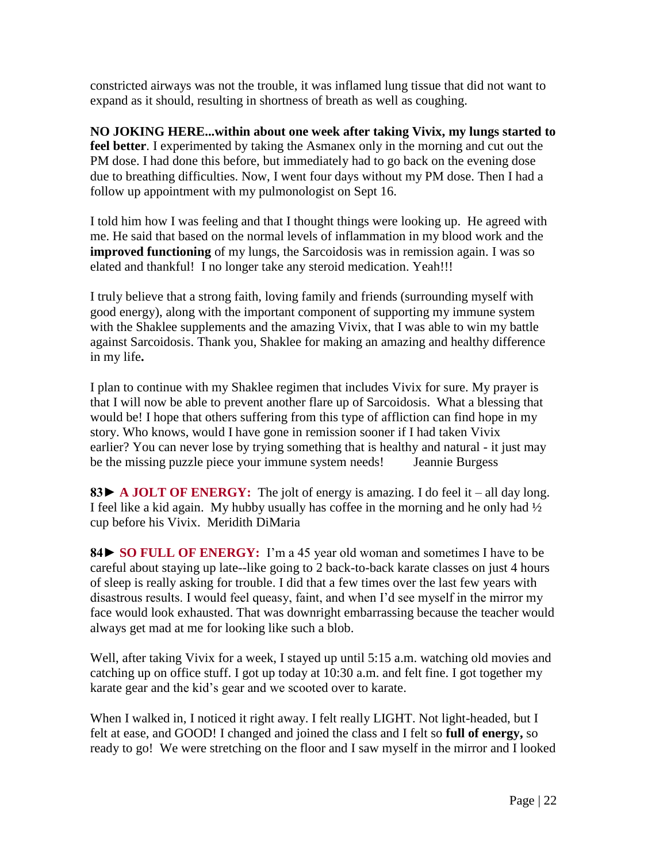constricted airways was not the trouble, it was inflamed lung tissue that did not want to expand as it should, resulting in shortness of breath as well as coughing.

**NO JOKING HERE...within about one week after taking Vivix, my lungs started to feel better**. I experimented by taking the Asmanex only in the morning and cut out the PM dose. I had done this before, but immediately had to go back on the evening dose due to breathing difficulties. Now, I went four days without my PM dose. Then I had a follow up appointment with my pulmonologist on Sept 16.

I told him how I was feeling and that I thought things were looking up. He agreed with me. He said that based on the normal levels of inflammation in my blood work and the **improved functioning** of my lungs, the Sarcoidosis was in remission again. I was so elated and thankful! I no longer take any steroid medication. Yeah!!!

I truly believe that a strong faith, loving family and friends (surrounding myself with good energy), along with the important component of supporting my immune system with the Shaklee supplements and the amazing Vivix, that I was able to win my battle against Sarcoidosis. Thank you, Shaklee for making an amazing and healthy difference in my life**.**

I plan to continue with my Shaklee regimen that includes Vivix for sure. My prayer is that I will now be able to prevent another flare up of Sarcoidosis. What a blessing that would be! I hope that others suffering from this type of affliction can find hope in my story. Who knows, would I have gone in remission sooner if I had taken Vivix earlier? You can never lose by trying something that is healthy and natural - it just may be the missing puzzle piece your immune system needs! Jeannie Burgess

**83► A JOLT OF ENERGY:** The jolt of energy is amazing. I do feel it – all day long. I feel like a kid again. My hubby usually has coffee in the morning and he only had ½ cup before his Vivix. Meridith DiMaria

**84► SO FULL OF ENERGY:** I'm a 45 year old woman and sometimes I have to be careful about staying up late--like going to 2 back-to-back karate classes on just 4 hours of sleep is really asking for trouble. I did that a few times over the last few years with disastrous results. I would feel queasy, faint, and when I'd see myself in the mirror my face would look exhausted. That was downright embarrassing because the teacher would always get mad at me for looking like such a blob.

Well, after taking Vivix for a week, I stayed up until 5:15 a.m. watching old movies and catching up on office stuff. I got up today at 10:30 a.m. and felt fine. I got together my karate gear and the kid's gear and we scooted over to karate.

When I walked in, I noticed it right away. I felt really LIGHT. Not light-headed, but I felt at ease, and GOOD! I changed and joined the class and I felt so **full of energy,** so ready to go! We were stretching on the floor and I saw myself in the mirror and I looked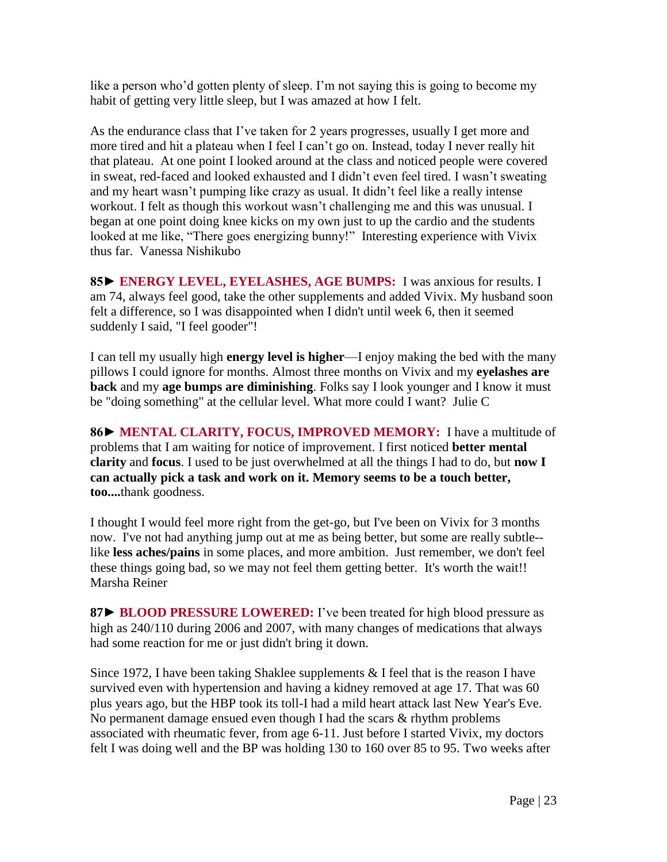like a person who'd gotten plenty of sleep. I'm not saying this is going to become my habit of getting very little sleep, but I was amazed at how I felt.

As the endurance class that I've taken for 2 years progresses, usually I get more and more tired and hit a plateau when I feel I can't go on. Instead, today I never really hit that plateau. At one point I looked around at the class and noticed people were covered in sweat, red-faced and looked exhausted and I didn't even feel tired. I wasn't sweating and my heart wasn't pumping like crazy as usual. It didn't feel like a really intense workout. I felt as though this workout wasn't challenging me and this was unusual. I began at one point doing knee kicks on my own just to up the cardio and the students looked at me like, "There goes energizing bunny!" Interesting experience with Vivix thus far. Vanessa Nishikubo

**85► ENERGY LEVEL, EYELASHES, AGE BUMPS:** I was anxious for results. I am 74, always feel good, take the other supplements and added Vivix. My husband soon felt a difference, so I was disappointed when I didn't until week 6, then it seemed suddenly I said, "I feel gooder"!

I can tell my usually high **energy level is higher**—I enjoy making the bed with the many pillows I could ignore for months. Almost three months on Vivix and my **eyelashes are back** and my **age bumps are diminishing**. Folks say I look younger and I know it must be "doing something" at the cellular level. What more could I want? Julie C

**86► MENTAL CLARITY, FOCUS, IMPROVED MEMORY:** I have a multitude of problems that I am waiting for notice of improvement. I first noticed **better mental clarity** and **focus**. I used to be just overwhelmed at all the things I had to do, but **now I can actually pick a task and work on it. Memory seems to be a touch better, too....**thank goodness.

I thought I would feel more right from the get-go, but I've been on Vivix for 3 months now. I've not had anything jump out at me as being better, but some are really subtle- like **less aches/pains** in some places, and more ambition. Just remember, we don't feel these things going bad, so we may not feel them getting better. It's worth the wait!! Marsha Reiner

**87► BLOOD PRESSURE LOWERED:** I've been treated for high blood pressure as high as 240/110 during 2006 and 2007, with many changes of medications that always had some reaction for me or just didn't bring it down.

Since 1972, I have been taking Shaklee supplements & I feel that is the reason I have survived even with hypertension and having a kidney removed at age 17. That was 60 plus years ago, but the HBP took its toll-I had a mild heart attack last New Year's Eve. No permanent damage ensued even though I had the scars & rhythm problems associated with rheumatic fever, from age 6-11. Just before I started Vivix, my doctors felt I was doing well and the BP was holding 130 to 160 over 85 to 95. Two weeks after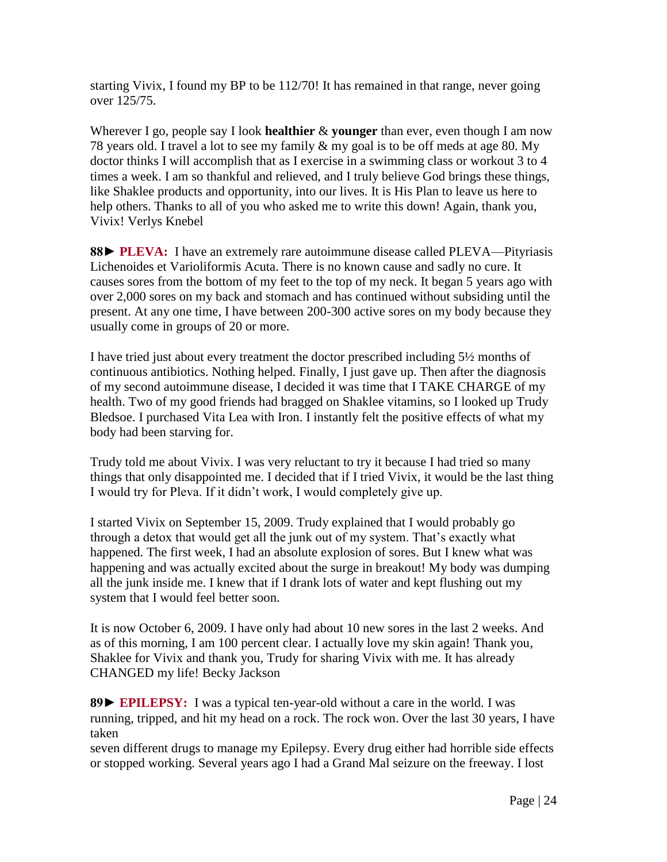starting Vivix, I found my BP to be 112/70! It has remained in that range, never going over 125/75.

Wherever I go, people say I look **healthier** & **younger** than ever, even though I am now 78 years old. I travel a lot to see my family & my goal is to be off meds at age 80. My doctor thinks I will accomplish that as I exercise in a swimming class or workout 3 to 4 times a week. I am so thankful and relieved, and I truly believe God brings these things, like Shaklee products and opportunity, into our lives. It is His Plan to leave us here to help others. Thanks to all of you who asked me to write this down! Again, thank you, Vivix! Verlys Knebel

**88► PLEVA:** I have an extremely rare autoimmune disease called PLEVA—Pityriasis Lichenoides et Varioliformis Acuta. There is no known cause and sadly no cure. It causes sores from the bottom of my feet to the top of my neck. It began 5 years ago with over 2,000 sores on my back and stomach and has continued without subsiding until the present. At any one time, I have between 200-300 active sores on my body because they usually come in groups of 20 or more.

I have tried just about every treatment the doctor prescribed including 5½ months of continuous antibiotics. Nothing helped. Finally, I just gave up. Then after the diagnosis of my second autoimmune disease, I decided it was time that I TAKE CHARGE of my health. Two of my good friends had bragged on Shaklee vitamins, so I looked up Trudy Bledsoe. I purchased Vita Lea with Iron. I instantly felt the positive effects of what my body had been starving for.

Trudy told me about Vivix. I was very reluctant to try it because I had tried so many things that only disappointed me. I decided that if I tried Vivix, it would be the last thing I would try for Pleva. If it didn't work, I would completely give up.

I started Vivix on September 15, 2009. Trudy explained that I would probably go through a detox that would get all the junk out of my system. That's exactly what happened. The first week, I had an absolute explosion of sores. But I knew what was happening and was actually excited about the surge in breakout! My body was dumping all the junk inside me. I knew that if I drank lots of water and kept flushing out my system that I would feel better soon.

It is now October 6, 2009. I have only had about 10 new sores in the last 2 weeks. And as of this morning, I am 100 percent clear. I actually love my skin again! Thank you, Shaklee for Vivix and thank you, Trudy for sharing Vivix with me. It has already CHANGED my life! Becky Jackson

**89► EPILEPSY:** I was a typical ten-year-old without a care in the world. I was running, tripped, and hit my head on a rock. The rock won. Over the last 30 years, I have taken

seven different drugs to manage my Epilepsy. Every drug either had horrible side effects or stopped working. Several years ago I had a Grand Mal seizure on the freeway. I lost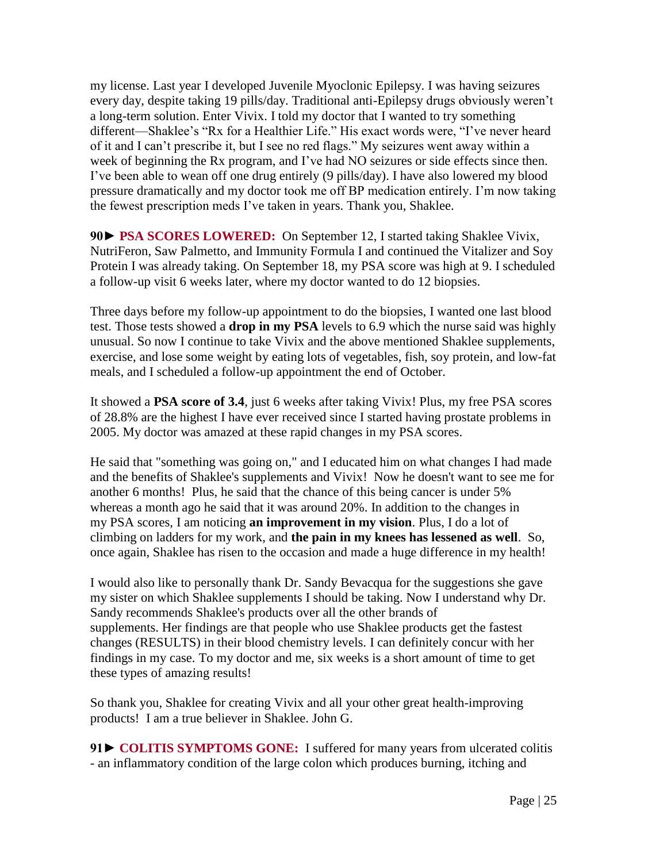my license. Last year I developed Juvenile Myoclonic Epilepsy. I was having seizures every day, despite taking 19 pills/day. Traditional anti-Epilepsy drugs obviously weren't a long-term solution. Enter Vivix. I told my doctor that I wanted to try something different—Shaklee's "Rx for a Healthier Life." His exact words were, "I've never heard of it and I can't prescribe it, but I see no red flags." My seizures went away within a week of beginning the Rx program, and I've had NO seizures or side effects since then. I've been able to wean off one drug entirely (9 pills/day). I have also lowered my blood pressure dramatically and my doctor took me off BP medication entirely. I'm now taking the fewest prescription meds I've taken in years. Thank you, Shaklee.

**90► PSA SCORES LOWERED:** On September 12, I started taking Shaklee Vivix, NutriFeron, Saw Palmetto, and Immunity Formula I and continued the Vitalizer and Soy Protein I was already taking. On September 18, my PSA score was high at 9. I scheduled a follow-up visit 6 weeks later, where my doctor wanted to do 12 biopsies.

Three days before my follow-up appointment to do the biopsies, I wanted one last blood test. Those tests showed a **drop in my PSA** levels to 6.9 which the nurse said was highly unusual. So now I continue to take Vivix and the above mentioned Shaklee supplements, exercise, and lose some weight by eating lots of vegetables, fish, soy protein, and low-fat meals, and I scheduled a follow-up appointment the end of October.

It showed a **PSA score of 3.4**, just 6 weeks after taking Vivix! Plus, my free PSA scores of 28.8% are the highest I have ever received since I started having prostate problems in 2005. My doctor was amazed at these rapid changes in my PSA scores.

He said that "something was going on," and I educated him on what changes I had made and the benefits of Shaklee's supplements and Vivix! Now he doesn't want to see me for another 6 months! Plus, he said that the chance of this being cancer is under 5% whereas a month ago he said that it was around 20%. In addition to the changes in my PSA scores, I am noticing **an improvement in my vision**. Plus, I do a lot of climbing on ladders for my work, and **the pain in my knees has lessened as well**. So, once again, Shaklee has risen to the occasion and made a huge difference in my health!

I would also like to personally thank Dr. Sandy Bevacqua for the suggestions she gave my sister on which Shaklee supplements I should be taking. Now I understand why Dr. Sandy recommends Shaklee's products over all the other brands of supplements. Her findings are that people who use Shaklee products get the fastest changes (RESULTS) in their blood chemistry levels. I can definitely concur with her findings in my case. To my doctor and me, six weeks is a short amount of time to get these types of amazing results!

So thank you, Shaklee for creating Vivix and all your other great health-improving products! I am a true believer in Shaklee. John G.

91► COLITIS SYMPTOMS GONE: I suffered for many years from ulcerated colitis - an inflammatory condition of the large colon which produces burning, itching and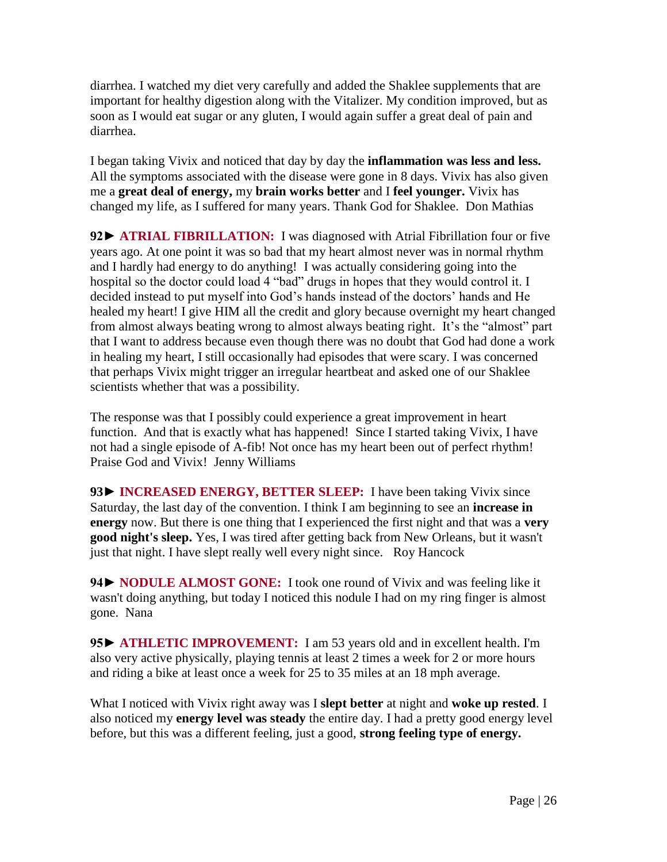diarrhea. I watched my diet very carefully and added the Shaklee supplements that are important for healthy digestion along with the Vitalizer. My condition improved, but as soon as I would eat sugar or any gluten, I would again suffer a great deal of pain and diarrhea.

I began taking Vivix and noticed that day by day the **inflammation was less and less.**  All the symptoms associated with the disease were gone in 8 days. Vivix has also given me a **great deal of energy,** my **brain works better** and I **feel younger.** Vivix has changed my life, as I suffered for many years. Thank God for Shaklee.Don Mathias

**92► ATRIAL FIBRILLATION:** I was diagnosed with Atrial Fibrillation four or five years ago. At one point it was so bad that my heart almost never was in normal rhythm and I hardly had energy to do anything! I was actually considering going into the hospital so the doctor could load 4 "bad" drugs in hopes that they would control it. I decided instead to put myself into God's hands instead of the doctors' hands and He healed my heart! I give HIM all the credit and glory because overnight my heart changed from almost always beating wrong to almost always beating right. It's the "almost" part that I want to address because even though there was no doubt that God had done a work in healing my heart, I still occasionally had episodes that were scary. I was concerned that perhaps Vivix might trigger an irregular heartbeat and asked one of our Shaklee scientists whether that was a possibility.

The response was that I possibly could experience a great improvement in heart function. And that is exactly what has happened! Since I started taking Vivix, I have not had a single episode of A-fib! Not once has my heart been out of perfect rhythm! Praise God and Vivix! Jenny Williams

**93► INCREASED ENERGY, BETTER SLEEP:** I have been taking Vivix since Saturday, the last day of the convention. I think I am beginning to see an **increase in energy** now. But there is one thing that I experienced the first night and that was a **very good night's sleep.** Yes, I was tired after getting back from New Orleans, but it wasn't just that night. I have slept really well every night since.Roy Hancock

**94► NODULE ALMOST GONE:** I took one round of Vivix and was feeling like it wasn't doing anything, but today I noticed this nodule I had on my ring finger is almost gone. Nana

**95► ATHLETIC IMPROVEMENT:** I am 53 years old and in excellent health. I'm also very active physically, playing tennis at least 2 times a week for 2 or more hours and riding a bike at least once a week for 25 to 35 miles at an 18 mph average.

What I noticed with Vivix right away was I **slept better** at night and **woke up rested**. I also noticed my **energy level was steady** the entire day. I had a pretty good energy level before, but this was a different feeling, just a good, **strong feeling type of energy.**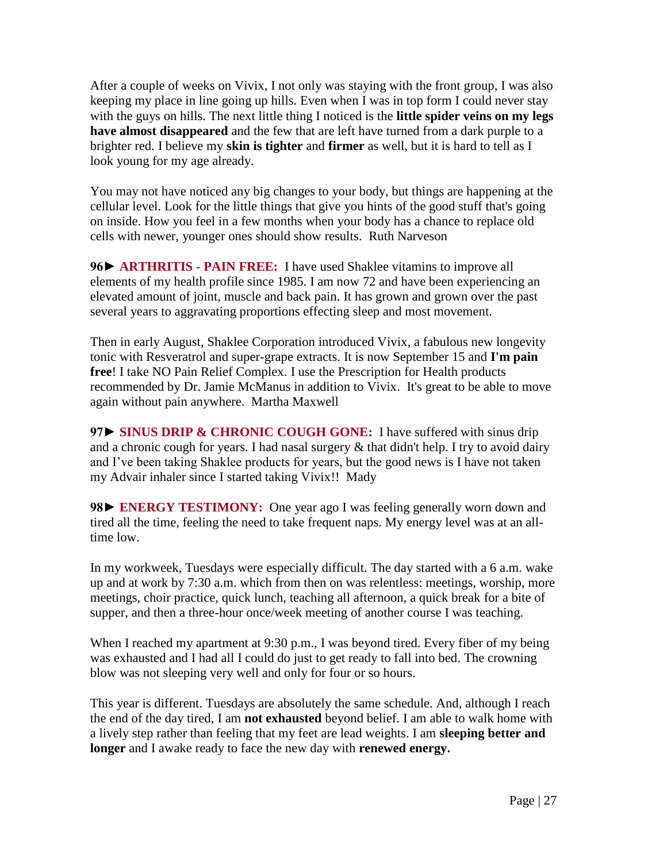After a couple of weeks on Vivix, I not only was staying with the front group, I was also keeping my place in line going up hills. Even when I was in top form I could never stay with the guys on hills. The next little thing I noticed is the **little spider veins on my legs have almost disappeared** and the few that are left have turned from a dark purple to a brighter red. I believe my **skin is tighter** and **firmer** as well, but it is hard to tell as I look young for my age already.

You may not have noticed any big changes to your body, but things are happening at the cellular level. Look for the little things that give you hints of the good stuff that's going on inside. How you feel in a few months when your body has a chance to replace old cells with newer, younger ones should show results. Ruth Narveson

**96► ARTHRITIS - PAIN FREE:** I have used Shaklee vitamins to improve all elements of my health profile since 1985. I am now 72 and have been experiencing an elevated amount of joint, muscle and back pain. It has grown and grown over the past several years to aggravating proportions effecting sleep and most movement.

Then in early August, Shaklee Corporation introduced Vivix, a fabulous new longevity tonic with Resveratrol and super-grape extracts. It is now September 15 and **I'm pain free**! I take NO Pain Relief Complex. I use the Prescription for Health products recommended by Dr. Jamie McManus in addition to Vivix. It's great to be able to move again without pain anywhere. Martha Maxwell

97► **SINUS DRIP & CHRONIC COUGH GONE:** I have suffered with sinus drip and a chronic cough for years. I had nasal surgery  $\&$  that didn't help. I try to avoid dairy and I've been taking Shaklee products for years, but the good news is I have not taken my Advair inhaler since I started taking Vivix!! Mady

**98► ENERGY TESTIMONY:** One year ago I was feeling generally worn down and tired all the time, feeling the need to take frequent naps. My energy level was at an alltime low.

In my workweek, Tuesdays were especially difficult. The day started with a 6 a.m. wake up and at work by 7:30 a.m. which from then on was relentless: meetings, worship, more meetings, choir practice, quick lunch, teaching all afternoon, a quick break for a bite of supper, and then a three-hour once/week meeting of another course I was teaching.

When I reached my apartment at 9:30 p.m., I was beyond tired. Every fiber of my being was exhausted and I had all I could do just to get ready to fall into bed. The crowning blow was not sleeping very well and only for four or so hours.

This year is different. Tuesdays are absolutely the same schedule. And, although I reach the end of the day tired, I am **not exhausted** beyond belief. I am able to walk home with a lively step rather than feeling that my feet are lead weights. I am **sleeping better and longer** and I awake ready to face the new day with **renewed energy.**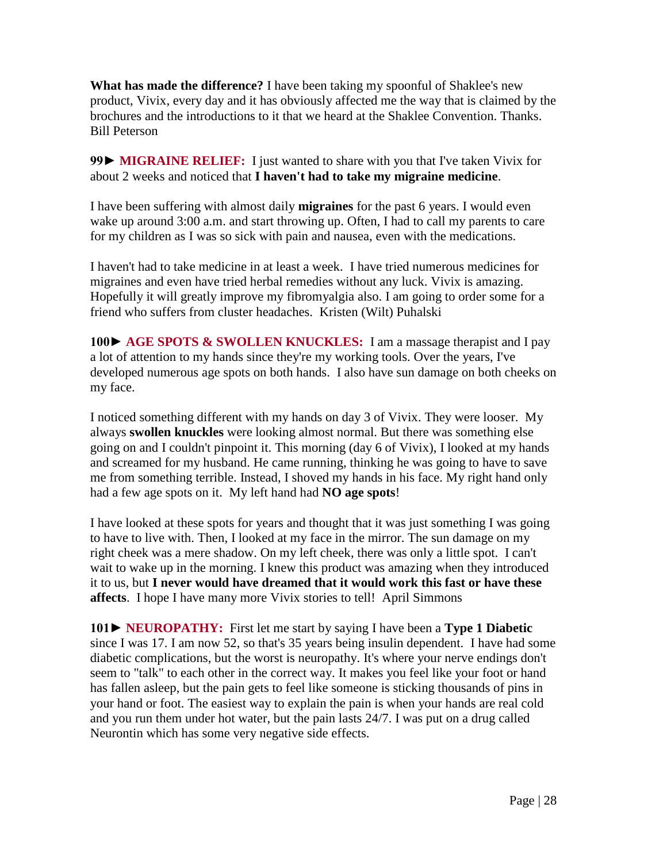**What has made the difference?** I have been taking my spoonful of Shaklee's new product, Vivix, every day and it has obviously affected me the way that is claimed by the brochures and the introductions to it that we heard at the Shaklee Convention. Thanks. Bill Peterson

99► **MIGRAINE RELIEF:** I just wanted to share with you that I've taken Vivix for about 2 weeks and noticed that **I haven't had to take my migraine medicine**.

I have been suffering with almost daily **migraines** for the past 6 years. I would even wake up around 3:00 a.m. and start throwing up. Often, I had to call my parents to care for my children as I was so sick with pain and nausea, even with the medications.

I haven't had to take medicine in at least a week. I have tried numerous medicines for migraines and even have tried herbal remedies without any luck. Vivix is amazing. Hopefully it will greatly improve my fibromyalgia also. I am going to order some for a friend who suffers from cluster headaches. Kristen (Wilt) Puhalski

**100► AGE SPOTS & SWOLLEN KNUCKLES:** I am a massage therapist and I pay a lot of attention to my hands since they're my working tools. Over the years, I've developed numerous age spots on both hands. I also have sun damage on both cheeks on my face.

I noticed something different with my hands on day 3 of Vivix. They were looser. My always **swollen knuckles** were looking almost normal. But there was something else going on and I couldn't pinpoint it. This morning (day 6 of Vivix), I looked at my hands and screamed for my husband. He came running, thinking he was going to have to save me from something terrible. Instead, I shoved my hands in his face. My right hand only had a few age spots on it. My left hand had **NO age spots**!

I have looked at these spots for years and thought that it was just something I was going to have to live with. Then, I looked at my face in the mirror. The sun damage on my right cheek was a mere shadow. On my left cheek, there was only a little spot. I can't wait to wake up in the morning. I knew this product was amazing when they introduced it to us, but **I never would have dreamed that it would work this fast or have these affects**. I hope I have many more Vivix stories to tell! April Simmons

**101► NEUROPATHY:** First let me start by saying I have been a **Type 1 Diabetic** since I was 17. I am now 52, so that's 35 years being insulin dependent. I have had some diabetic complications, but the worst is neuropathy. It's where your nerve endings don't seem to "talk" to each other in the correct way. It makes you feel like your foot or hand has fallen asleep, but the pain gets to feel like someone is sticking thousands of pins in your hand or foot. The easiest way to explain the pain is when your hands are real cold and you run them under hot water, but the pain lasts 24/7. I was put on a drug called Neurontin which has some very negative side effects.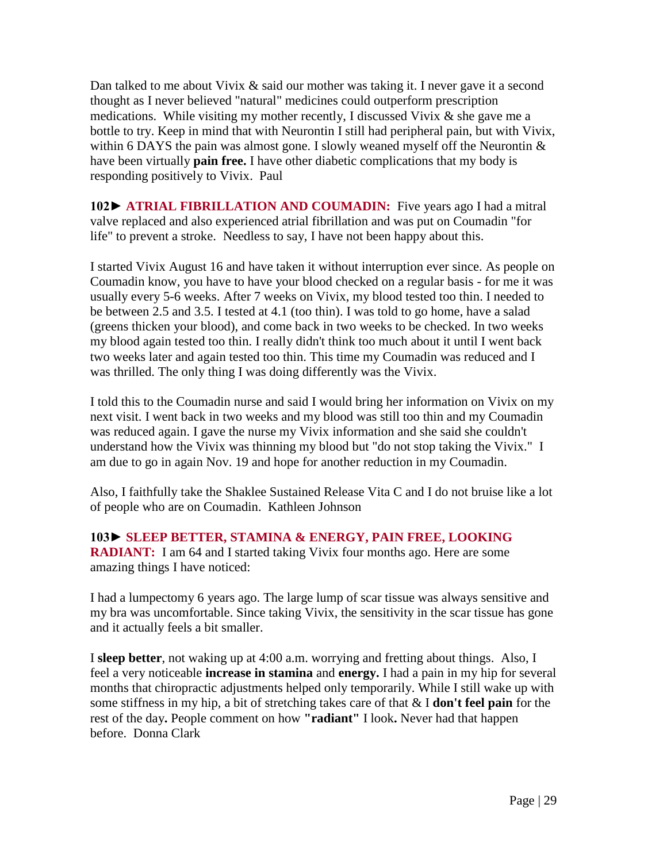Dan talked to me about Vivix & said our mother was taking it. I never gave it a second thought as I never believed "natural" medicines could outperform prescription medications. While visiting my mother recently, I discussed Vivix & she gave me a bottle to try. Keep in mind that with Neurontin I still had peripheral pain, but with Vivix, within 6 DAYS the pain was almost gone. I slowly weaned myself off the Neurontin  $\&$ have been virtually **pain free.** I have other diabetic complications that my body is responding positively to Vivix. Paul

**102► ATRIAL FIBRILLATION AND COUMADIN:** Five years ago I had a mitral valve replaced and also experienced atrial fibrillation and was put on Coumadin "for life" to prevent a stroke. Needless to say, I have not been happy about this.

I started Vivix August 16 and have taken it without interruption ever since. As people on Coumadin know, you have to have your blood checked on a regular basis - for me it was usually every 5-6 weeks. After 7 weeks on Vivix, my blood tested too thin. I needed to be between 2.5 and 3.5. I tested at 4.1 (too thin). I was told to go home, have a salad (greens thicken your blood), and come back in two weeks to be checked. In two weeks my blood again tested too thin. I really didn't think too much about it until I went back two weeks later and again tested too thin. This time my Coumadin was reduced and I was thrilled. The only thing I was doing differently was the Vivix.

I told this to the Coumadin nurse and said I would bring her information on Vivix on my next visit. I went back in two weeks and my blood was still too thin and my Coumadin was reduced again. I gave the nurse my Vivix information and she said she couldn't understand how the Vivix was thinning my blood but "do not stop taking the Vivix." I am due to go in again Nov. 19 and hope for another reduction in my Coumadin.

Also, I faithfully take the Shaklee Sustained Release Vita C and I do not bruise like a lot of people who are on Coumadin. Kathleen Johnson

**103► SLEEP BETTER, STAMINA & ENERGY, PAIN FREE, LOOKING RADIANT:** I am 64 and I started taking Vivix four months ago. Here are some amazing things I have noticed:

I had a lumpectomy 6 years ago. The large lump of scar tissue was always sensitive and my bra was uncomfortable. Since taking Vivix, the sensitivity in the scar tissue has gone and it actually feels a bit smaller.

I **sleep better**, not waking up at 4:00 a.m. worrying and fretting about things. Also, I feel a very noticeable **increase in stamina** and **energy.** I had a pain in my hip for several months that chiropractic adjustments helped only temporarily. While I still wake up with some stiffness in my hip, a bit of stretching takes care of that & I **don't feel pain** for the rest of the day**.** People comment on how **"radiant"** I look**.** Never had that happen before. Donna Clark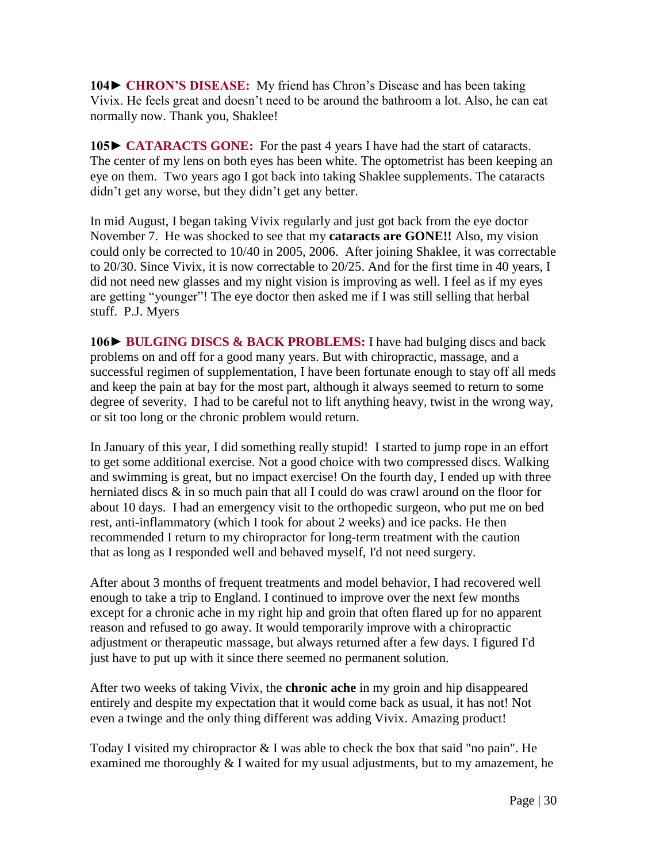**104► CHRON'S DISEASE:** My friend has Chron's Disease and has been taking Vivix. He feels great and doesn't need to be around the bathroom a lot. Also, he can eat normally now. Thank you, Shaklee!

**105► CATARACTS GONE:** For the past 4 years I have had the start of cataracts. The center of my lens on both eyes has been white. The optometrist has been keeping an eye on them. Two years ago I got back into taking Shaklee supplements. The cataracts didn't get any worse, but they didn't get any better.

In mid August, I began taking Vivix regularly and just got back from the eye doctor November 7. He was shocked to see that my **cataracts are GONE!!** Also, my vision could only be corrected to 10/40 in 2005, 2006. After joining Shaklee, it was correctable to 20/30. Since Vivix, it is now correctable to 20/25. And for the first time in 40 years, I did not need new glasses and my night vision is improving as well. I feel as if my eyes are getting "younger"! The eye doctor then asked me if I was still selling that herbal stuff. P.J. Myers

**106► BULGING DISCS & BACK PROBLEMS:** I have had bulging discs and back problems on and off for a good many years. But with chiropractic, massage, and a successful regimen of supplementation, I have been fortunate enough to stay off all meds and keep the pain at bay for the most part, although it always seemed to return to some degree of severity. I had to be careful not to lift anything heavy, twist in the wrong way, or sit too long or the chronic problem would return.

In January of this year, I did something really stupid! I started to jump rope in an effort to get some additional exercise. Not a good choice with two compressed discs. Walking and swimming is great, but no impact exercise! On the fourth day, I ended up with three herniated discs & in so much pain that all I could do was crawl around on the floor for about 10 days. I had an emergency visit to the orthopedic surgeon, who put me on bed rest, anti-inflammatory (which I took for about 2 weeks) and ice packs. He then recommended I return to my chiropractor for long-term treatment with the caution that as long as I responded well and behaved myself, I'd not need surgery.

After about 3 months of frequent treatments and model behavior, I had recovered well enough to take a trip to England. I continued to improve over the next few months except for a chronic ache in my right hip and groin that often flared up for no apparent reason and refused to go away. It would temporarily improve with a chiropractic adjustment or therapeutic massage, but always returned after a few days. I figured I'd just have to put up with it since there seemed no permanent solution.

After two weeks of taking Vivix, the **chronic ache** in my groin and hip disappeared entirely and despite my expectation that it would come back as usual, it has not! Not even a twinge and the only thing different was adding Vivix. Amazing product!

Today I visited my chiropractor & I was able to check the box that said "no pain". He examined me thoroughly & I waited for my usual adjustments, but to my amazement, he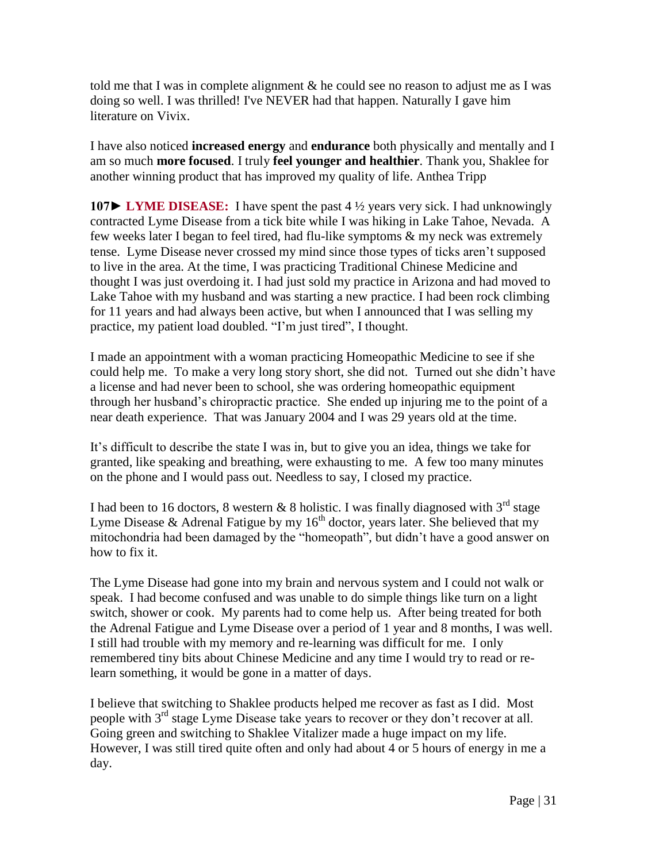told me that I was in complete alignment  $\&$  he could see no reason to adjust me as I was doing so well. I was thrilled! I've NEVER had that happen. Naturally I gave him literature on Vivix.

I have also noticed **increased energy** and **endurance** both physically and mentally and I am so much **more focused**. I truly **feel younger and healthier**. Thank you, Shaklee for another winning product that has improved my quality of life. Anthea Tripp

**107► LYME DISEASE:** I have spent the past 4 ½ years very sick. I had unknowingly contracted Lyme Disease from a tick bite while I was hiking in Lake Tahoe, Nevada. A few weeks later I began to feel tired, had flu-like symptoms & my neck was extremely tense. Lyme Disease never crossed my mind since those types of ticks aren't supposed to live in the area. At the time, I was practicing Traditional Chinese Medicine and thought I was just overdoing it. I had just sold my practice in Arizona and had moved to Lake Tahoe with my husband and was starting a new practice. I had been rock climbing for 11 years and had always been active, but when I announced that I was selling my practice, my patient load doubled. "I'm just tired", I thought.

I made an appointment with a woman practicing Homeopathic Medicine to see if she could help me. To make a very long story short, she did not. Turned out she didn't have a license and had never been to school, she was ordering homeopathic equipment through her husband's chiropractic practice. She ended up injuring me to the point of a near death experience. That was January 2004 and I was 29 years old at the time.

It's difficult to describe the state I was in, but to give you an idea, things we take for granted, like speaking and breathing, were exhausting to me. A few too many minutes on the phone and I would pass out. Needless to say, I closed my practice.

I had been to 16 doctors, 8 western & 8 holistic. I was finally diagnosed with  $3^{rd}$  stage Lyme Disease & Adrenal Fatigue by my  $16<sup>th</sup>$  doctor, years later. She believed that my mitochondria had been damaged by the "homeopath", but didn't have a good answer on how to fix it.

The Lyme Disease had gone into my brain and nervous system and I could not walk or speak. I had become confused and was unable to do simple things like turn on a light switch, shower or cook. My parents had to come help us. After being treated for both the Adrenal Fatigue and Lyme Disease over a period of 1 year and 8 months, I was well. I still had trouble with my memory and re-learning was difficult for me. I only remembered tiny bits about Chinese Medicine and any time I would try to read or relearn something, it would be gone in a matter of days.

I believe that switching to Shaklee products helped me recover as fast as I did. Most people with 3<sup>rd</sup> stage Lyme Disease take years to recover or they don't recover at all. Going green and switching to Shaklee Vitalizer made a huge impact on my life. However, I was still tired quite often and only had about 4 or 5 hours of energy in me a day.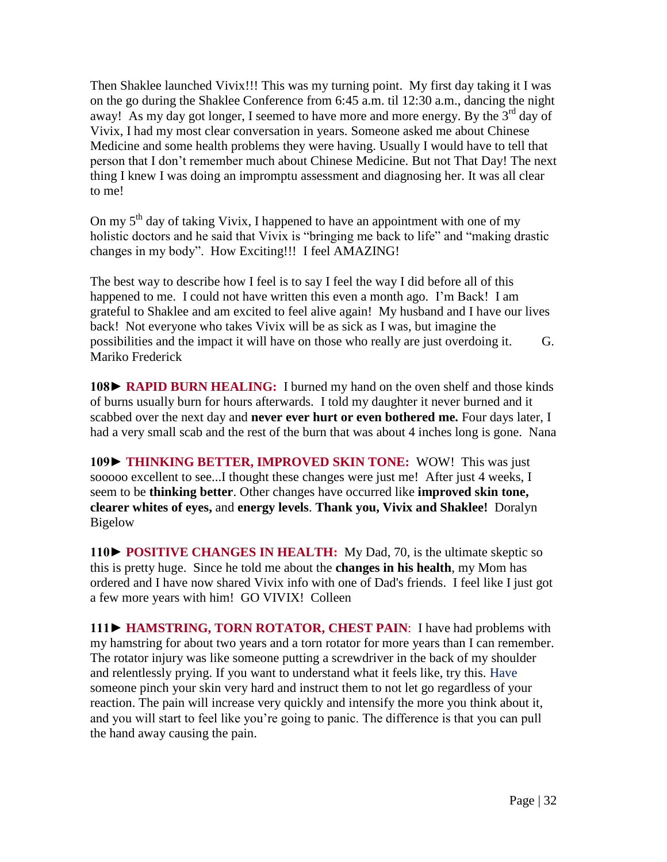Then Shaklee launched Vivix!!! This was my turning point. My first day taking it I was on the go during the Shaklee Conference from 6:45 a.m. til 12:30 a.m., dancing the night away! As my day got longer, I seemed to have more and more energy. By the  $3<sup>rd</sup>$  day of Vivix, I had my most clear conversation in years. Someone asked me about Chinese Medicine and some health problems they were having. Usually I would have to tell that person that I don't remember much about Chinese Medicine. But not That Day! The next thing I knew I was doing an impromptu assessment and diagnosing her. It was all clear to me!

On my  $5<sup>th</sup>$  day of taking Vivix, I happened to have an appointment with one of my holistic doctors and he said that Vivix is "bringing me back to life" and "making drastic changes in my body". How Exciting!!! I feel AMAZING!

The best way to describe how I feel is to say I feel the way I did before all of this happened to me. I could not have written this even a month ago. I'm Back! I am grateful to Shaklee and am excited to feel alive again! My husband and I have our lives back! Not everyone who takes Vivix will be as sick as I was, but imagine the possibilities and the impact it will have on those who really are just overdoing it.G. Mariko Frederick

**108► RAPID BURN HEALING:** I burned my hand on the oven shelf and those kinds of burns usually burn for hours afterwards. I told my daughter it never burned and it scabbed over the next day and **never ever hurt or even bothered me.** Four days later, I had a very small scab and the rest of the burn that was about 4 inches long is gone. Nana

**109► THINKING BETTER, IMPROVED SKIN TONE:** WOW! This was just sooooo excellent to see...I thought these changes were just me! After just 4 weeks, I seem to be **thinking better**. Other changes have occurred like **improved skin tone, clearer whites of eyes,** and **energy levels**. **Thank you, Vivix and Shaklee!** Doralyn Bigelow

**110► POSITIVE CHANGES IN HEALTH:** My Dad, 70, is the ultimate skeptic so this is pretty huge. Since he told me about the **changes in his health**, my Mom has ordered and I have now shared Vivix info with one of Dad's friends. I feel like I just got a few more years with him! GO VIVIX! Colleen

**111► HAMSTRING, TORN ROTATOR, CHEST PAIN**: I have had problems with my hamstring for about two years and a torn rotator for more years than I can remember. The rotator injury was like someone putting a screwdriver in the back of my shoulder and relentlessly prying. If you want to understand what it feels like, try this. Have someone pinch your skin very hard and instruct them to not let go regardless of your reaction. The pain will increase very quickly and intensify the more you think about it, and you will start to feel like you're going to panic. The difference is that you can pull the hand away causing the pain.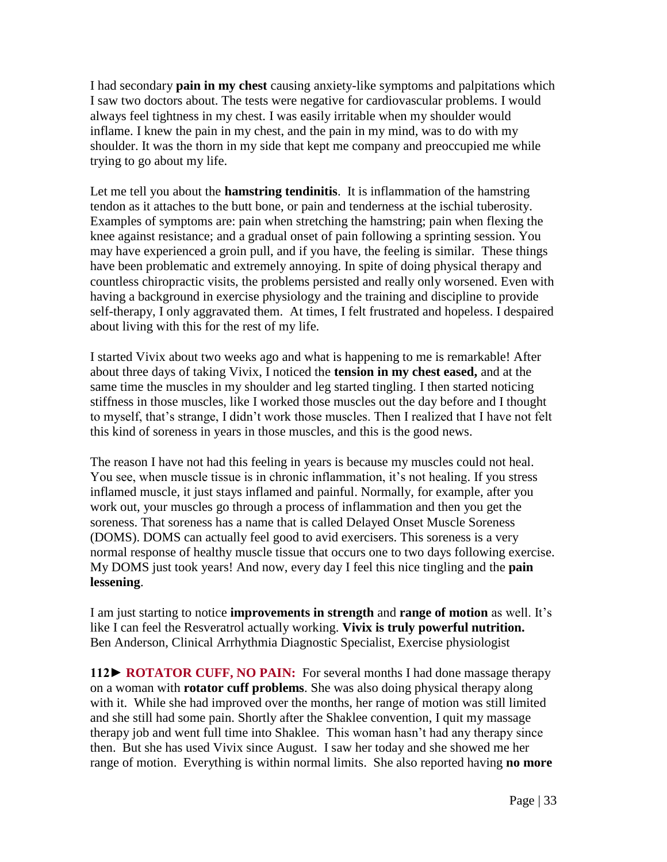I had secondary **pain in my chest** causing anxiety-like symptoms and palpitations which I saw two doctors about. The tests were negative for cardiovascular problems. I would always feel tightness in my chest. I was easily irritable when my shoulder would inflame. I knew the pain in my chest, and the pain in my mind, was to do with my shoulder. It was the thorn in my side that kept me company and preoccupied me while trying to go about my life.

Let me tell you about the **hamstring tendinitis**. It is inflammation of the hamstring tendon as it attaches to the butt bone, or pain and tenderness at the ischial tuberosity. Examples of symptoms are: pain when stretching the hamstring; pain when flexing the knee against resistance; and a gradual onset of pain following a sprinting session. You may have experienced a groin pull, and if you have, the feeling is similar. These things have been problematic and extremely annoying. In spite of doing physical therapy and countless chiropractic visits, the problems persisted and really only worsened. Even with having a background in exercise physiology and the training and discipline to provide self-therapy, I only aggravated them. At times, I felt frustrated and hopeless. I despaired about living with this for the rest of my life.

I started Vivix about two weeks ago and what is happening to me is remarkable! After about three days of taking Vivix, I noticed the **tension in my chest eased,** and at the same time the muscles in my shoulder and leg started tingling. I then started noticing stiffness in those muscles, like I worked those muscles out the day before and I thought to myself, that's strange, I didn't work those muscles. Then I realized that I have not felt this kind of soreness in years in those muscles, and this is the good news.

The reason I have not had this feeling in years is because my muscles could not heal. You see, when muscle tissue is in chronic inflammation, it's not healing. If you stress inflamed muscle, it just stays inflamed and painful. Normally, for example, after you work out, your muscles go through a process of inflammation and then you get the soreness. That soreness has a name that is called Delayed Onset Muscle Soreness (DOMS). DOMS can actually feel good to avid exercisers. This soreness is a very normal response of healthy muscle tissue that occurs one to two days following exercise. My DOMS just took years! And now, every day I feel this nice tingling and the **pain lessening**.

I am just starting to notice **improvements in strength** and **range of motion** as well. It's like I can feel the Resveratrol actually working. **Vivix is truly powerful nutrition.**  Ben Anderson, Clinical Arrhythmia Diagnostic Specialist, Exercise physiologist

**112► ROTATOR CUFF, NO PAIN:** For several months I had done massage therapy on a woman with **rotator cuff problems**. She was also doing physical therapy along with it. While she had improved over the months, her range of motion was still limited and she still had some pain. Shortly after the Shaklee convention, I quit my massage therapy job and went full time into Shaklee. This woman hasn't had any therapy since then. But she has used Vivix since August. I saw her today and she showed me her range of motion. Everything is within normal limits. She also reported having **no more**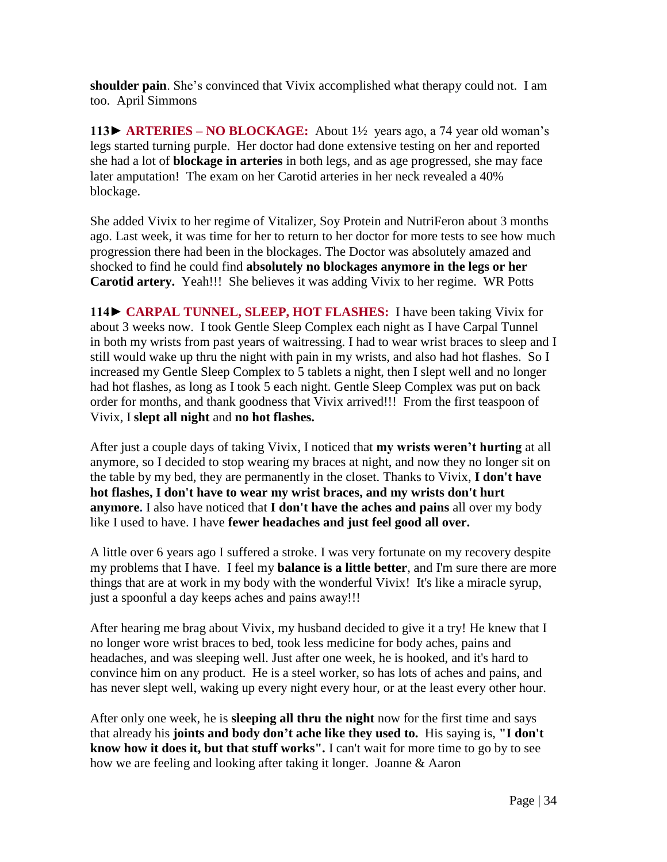**shoulder pain**. She's convinced that Vivix accomplished what therapy could not. I am too. April Simmons

**113► ARTERIES – NO BLOCKAGE:** About 1½ years ago, a 74 year old woman's legs started turning purple. Her doctor had done extensive testing on her and reported she had a lot of **blockage in arteries** in both legs, and as age progressed, she may face later amputation! The exam on her Carotid arteries in her neck revealed a 40% blockage.

She added Vivix to her regime of Vitalizer, Soy Protein and NutriFeron about 3 months ago. Last week, it was time for her to return to her doctor for more tests to see how much progression there had been in the blockages. The Doctor was absolutely amazed and shocked to find he could find **absolutely no blockages anymore in the legs or her Carotid artery.** Yeah!!! She believes it was adding Vivix to her regime.WR Potts

**114► CARPAL TUNNEL, SLEEP, HOT FLASHES:** I have been taking Vivix for about 3 weeks now. I took Gentle Sleep Complex each night as I have Carpal Tunnel in both my wrists from past years of waitressing. I had to wear wrist braces to sleep and I still would wake up thru the night with pain in my wrists, and also had hot flashes. So I increased my Gentle Sleep Complex to 5 tablets a night, then I slept well and no longer had hot flashes, as long as I took 5 each night. Gentle Sleep Complex was put on back order for months, and thank goodness that Vivix arrived!!! From the first teaspoon of Vivix, I **slept all night** and **no hot flashes.**

After just a couple days of taking Vivix, I noticed that **my wrists weren't hurting** at all anymore, so I decided to stop wearing my braces at night, and now they no longer sit on the table by my bed, they are permanently in the closet. Thanks to Vivix, **I don't have hot flashes, I don't have to wear my wrist braces, and my wrists don't hurt anymore.** I also have noticed that **I don't have the aches and pains** all over my body like I used to have. I have **fewer headaches and just feel good all over.**

A little over 6 years ago I suffered a stroke. I was very fortunate on my recovery despite my problems that I have. I feel my **balance is a little better**, and I'm sure there are more things that are at work in my body with the wonderful Vivix! It's like a miracle syrup, just a spoonful a day keeps aches and pains away!!!

After hearing me brag about Vivix, my husband decided to give it a try! He knew that I no longer wore wrist braces to bed, took less medicine for body aches, pains and headaches, and was sleeping well. Just after one week, he is hooked, and it's hard to convince him on any product. He is a steel worker, so has lots of aches and pains, and has never slept well, waking up every night every hour, or at the least every other hour.

After only one week, he is **sleeping all thru the night** now for the first time and says that already his **joints and body don't ache like they used to.** His saying is, **"I don't know how it does it, but that stuff works".** I can't wait for more time to go by to see how we are feeling and looking after taking it longer. Joanne & Aaron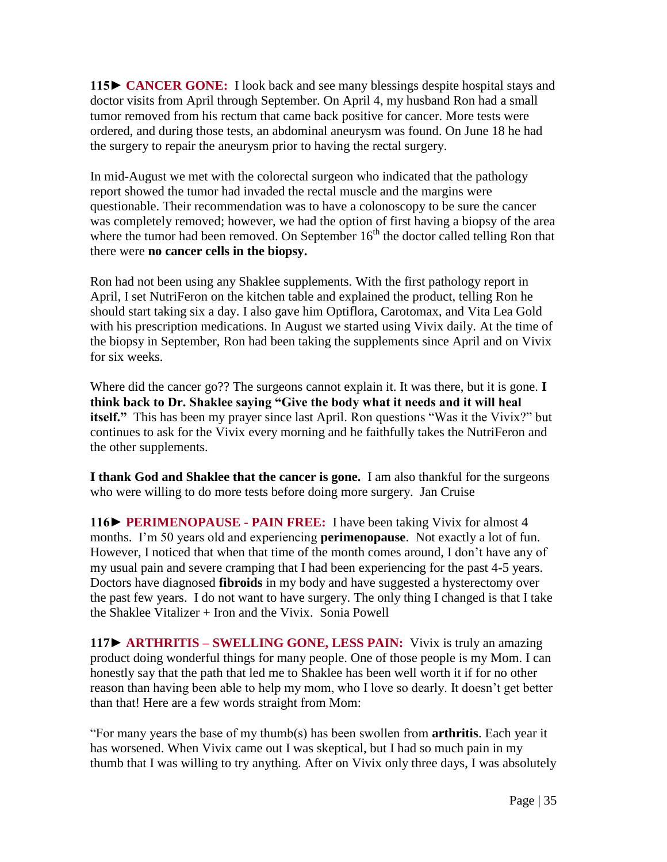**115► CANCER GONE:** I look back and see many blessings despite hospital stays and doctor visits from April through September. On April 4, my husband Ron had a small tumor removed from his rectum that came back positive for cancer. More tests were ordered, and during those tests, an abdominal aneurysm was found. On June 18 he had the surgery to repair the aneurysm prior to having the rectal surgery.

In mid-August we met with the colorectal surgeon who indicated that the pathology report showed the tumor had invaded the rectal muscle and the margins were questionable. Their recommendation was to have a colonoscopy to be sure the cancer was completely removed; however, we had the option of first having a biopsy of the area where the tumor had been removed. On September  $16<sup>th</sup>$  the doctor called telling Ron that there were **no cancer cells in the biopsy.** 

Ron had not been using any Shaklee supplements. With the first pathology report in April, I set NutriFeron on the kitchen table and explained the product, telling Ron he should start taking six a day. I also gave him Optiflora, Carotomax, and Vita Lea Gold with his prescription medications. In August we started using Vivix daily. At the time of the biopsy in September, Ron had been taking the supplements since April and on Vivix for six weeks.

Where did the cancer go?? The surgeons cannot explain it. It was there, but it is gone. **I think back to Dr. Shaklee saying "Give the body what it needs and it will heal itself."** This has been my prayer since last April. Ron questions "Was it the Vivix?" but continues to ask for the Vivix every morning and he faithfully takes the NutriFeron and the other supplements.

**I thank God and Shaklee that the cancer is gone.** I am also thankful for the surgeons who were willing to do more tests before doing more surgery. Jan Cruise

**116► PERIMENOPAUSE - PAIN FREE:** I have been taking Vivix for almost 4 months. I'm 50 years old and experiencing **perimenopause**. Not exactly a lot of fun. However, I noticed that when that time of the month comes around, I don't have any of my usual pain and severe cramping that I had been experiencing for the past 4-5 years. Doctors have diagnosed **fibroids** in my body and have suggested a hysterectomy over the past few years. I do not want to have surgery. The only thing I changed is that I take the Shaklee Vitalizer + Iron and the Vivix. Sonia Powell

**117**► **ARTHRITIS – SWELLING GONE, LESS PAIN:** Vivix is truly an amazing product doing wonderful things for many people. One of those people is my Mom. I can honestly say that the path that led me to Shaklee has been well worth it if for no other reason than having been able to help my mom, who I love so dearly. It doesn't get better than that! Here are a few words straight from Mom:

"For many years the base of my thumb(s) has been swollen from **arthritis**. Each year it has worsened. When Vivix came out I was skeptical, but I had so much pain in my thumb that I was willing to try anything. After on Vivix only three days, I was absolutely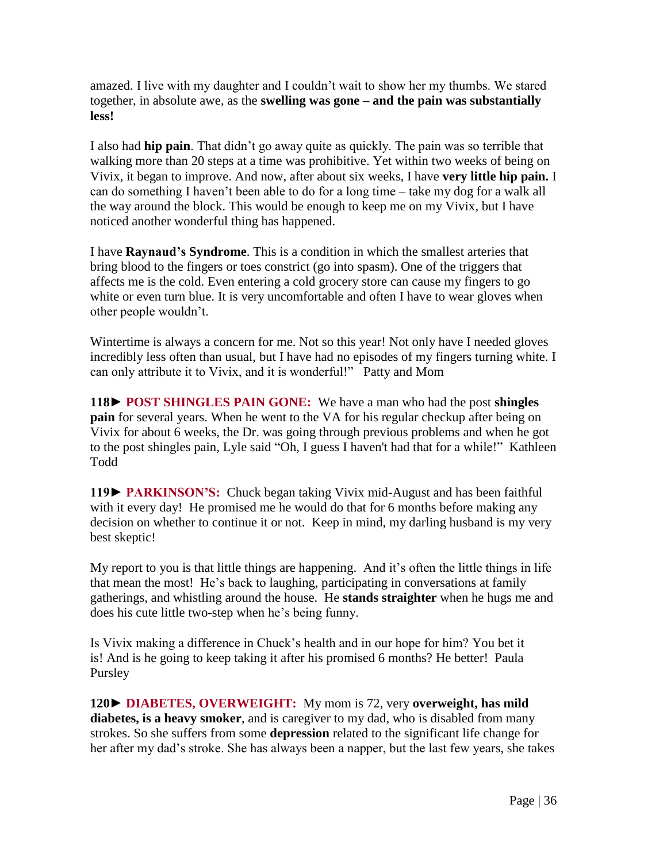amazed. I live with my daughter and I couldn't wait to show her my thumbs. We stared together, in absolute awe, as the **swelling was gone – and the pain was substantially less!**

I also had **hip pain**. That didn't go away quite as quickly. The pain was so terrible that walking more than 20 steps at a time was prohibitive. Yet within two weeks of being on Vivix, it began to improve. And now, after about six weeks, I have **very little hip pain.** I can do something I haven't been able to do for a long time – take my dog for a walk all the way around the block. This would be enough to keep me on my Vivix, but I have noticed another wonderful thing has happened.

I have **Raynaud's Syndrome**. This is a condition in which the smallest arteries that bring blood to the fingers or toes constrict (go into spasm). One of the triggers that affects me is the cold. Even entering a cold grocery store can cause my fingers to go white or even turn blue. It is very uncomfortable and often I have to wear gloves when other people wouldn't.

Wintertime is always a concern for me. Not so this year! Not only have I needed gloves incredibly less often than usual, but I have had no episodes of my fingers turning white. I can only attribute it to Vivix, and it is wonderful!"Patty and Mom

**118**► **POST SHINGLES PAIN GONE:** We have a man who had the post **shingles pain** for several years. When he went to the VA for his regular checkup after being on Vivix for about 6 weeks, the Dr. was going through previous problems and when he got to the post shingles pain, Lyle said "Oh, I guess I haven't had that for a while!" Kathleen Todd

**119► PARKINSON'S:** Chuck began taking Vivix mid-August and has been faithful with it every day! He promised me he would do that for 6 months before making any decision on whether to continue it or not. Keep in mind, my darling husband is my very best skeptic!

My report to you is that little things are happening. And it's often the little things in life that mean the most! He's back to laughing, participating in conversations at family gatherings, and whistling around the house. He **stands straighter** when he hugs me and does his cute little two-step when he's being funny.

Is Vivix making a difference in Chuck's health and in our hope for him? You bet it is! And is he going to keep taking it after his promised 6 months? He better! Paula Pursley

**120**► **DIABETES, OVERWEIGHT:** My mom is 72, very **overweight, has mild diabetes, is a heavy smoker**, and is caregiver to my dad, who is disabled from many strokes. So she suffers from some **depression** related to the significant life change for her after my dad's stroke. She has always been a napper, but the last few years, she takes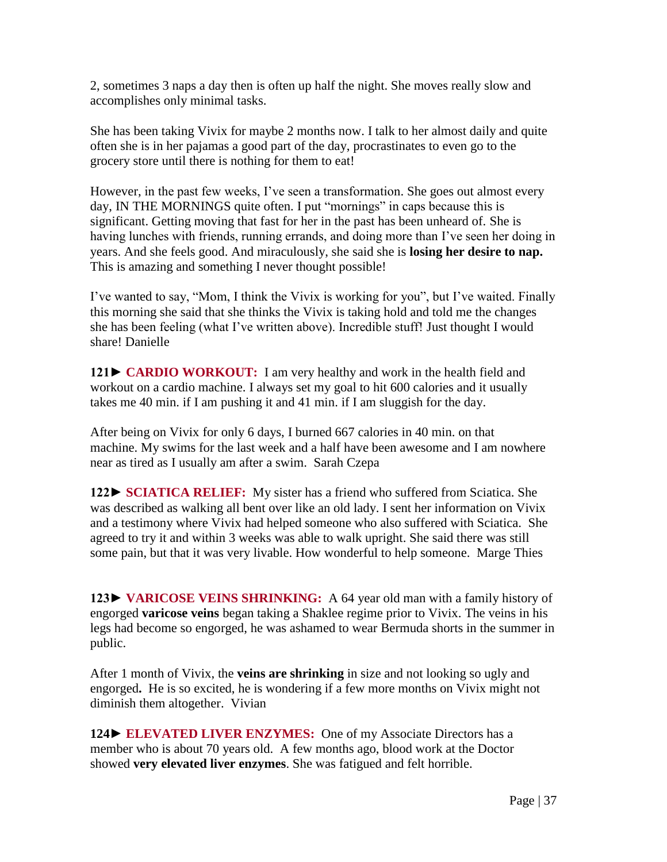2, sometimes 3 naps a day then is often up half the night. She moves really slow and accomplishes only minimal tasks.

She has been taking Vivix for maybe 2 months now. I talk to her almost daily and quite often she is in her pajamas a good part of the day, procrastinates to even go to the grocery store until there is nothing for them to eat!

However, in the past few weeks, I've seen a transformation. She goes out almost every day, IN THE MORNINGS quite often. I put "mornings" in caps because this is significant. Getting moving that fast for her in the past has been unheard of. She is having lunches with friends, running errands, and doing more than I've seen her doing in years. And she feels good. And miraculously, she said she is **losing her desire to nap.**  This is amazing and something I never thought possible!

I've wanted to say, "Mom, I think the Vivix is working for you", but I've waited. Finally this morning she said that she thinks the Vivix is taking hold and told me the changes she has been feeling (what I've written above). Incredible stuff! Just thought I would share! Danielle

**121► CARDIO WORKOUT:** I am very healthy and work in the health field and workout on a cardio machine. I always set my goal to hit 600 calories and it usually takes me 40 min. if I am pushing it and 41 min. if I am sluggish for the day.

After being on Vivix for only 6 days, I burned 667 calories in 40 min. on that machine. My swims for the last week and a half have been awesome and I am nowhere near as tired as I usually am after a swim. Sarah Czepa

**122► SCIATICA RELIEF:** My sister has a friend who suffered from Sciatica. She was described as walking all bent over like an old lady. I sent her information on Vivix and a testimony where Vivix had helped someone who also suffered with Sciatica. She agreed to try it and within 3 weeks was able to walk upright. She said there was still some pain, but that it was very livable. How wonderful to help someone. Marge Thies

**123► VARICOSE VEINS SHRINKING:** A 64 year old man with a family history of engorged **varicose veins** began taking a Shaklee regime prior to Vivix. The veins in his legs had become so engorged, he was ashamed to wear Bermuda shorts in the summer in public.

After 1 month of Vivix, the **veins are shrinking** in size and not looking so ugly and engorged**.** He is so excited, he is wondering if a few more months on Vivix might not diminish them altogether. Vivian

**124► ELEVATED LIVER ENZYMES:** One of my Associate Directors has a member who is about 70 years old. A few months ago, blood work at the Doctor showed **very elevated liver enzymes**. She was fatigued and felt horrible.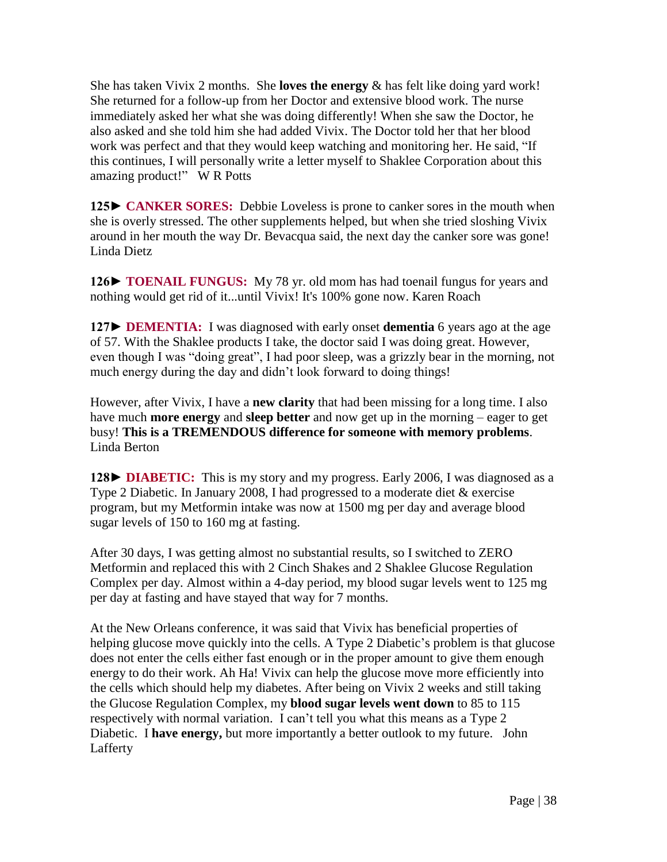She has taken Vivix 2 months. She **loves the energy** & has felt like doing yard work! She returned for a follow-up from her Doctor and extensive blood work. The nurse immediately asked her what she was doing differently! When she saw the Doctor, he also asked and she told him she had added Vivix. The Doctor told her that her blood work was perfect and that they would keep watching and monitoring her. He said, "If this continues, I will personally write a letter myself to Shaklee Corporation about this amazing product!"W R Potts

**125► CANKER SORES:** Debbie Loveless is prone to canker sores in the mouth when she is overly stressed. The other supplements helped, but when she tried sloshing Vivix around in her mouth the way Dr. Bevacqua said, the next day the canker sore was gone! Linda Dietz

**126► TOENAIL FUNGUS:** My 78 yr. old mom has had toenail fungus for years and nothing would get rid of it...until Vivix! It's 100% gone now. Karen Roach

**127► DEMENTIA:** I was diagnosed with early onset **dementia** 6 years ago at the age of 57. With the Shaklee products I take, the doctor said I was doing great. However, even though I was "doing great", I had poor sleep, was a grizzly bear in the morning, not much energy during the day and didn't look forward to doing things!

However, after Vivix, I have a **new clarity** that had been missing for a long time. I also have much **more energy** and **sleep better** and now get up in the morning – eager to get busy! **This is a TREMENDOUS difference for someone with memory problems**. Linda Berton

**128► DIABETIC:** This is my story and my progress. Early 2006, I was diagnosed as a Type 2 Diabetic. In January 2008, I had progressed to a moderate diet & exercise program, but my Metformin intake was now at 1500 mg per day and average blood sugar levels of 150 to 160 mg at fasting.

After 30 days, I was getting almost no substantial results, so I switched to ZERO Metformin and replaced this with 2 Cinch Shakes and 2 Shaklee Glucose Regulation Complex per day. Almost within a 4-day period, my blood sugar levels went to 125 mg per day at fasting and have stayed that way for 7 months.

At the New Orleans conference, it was said that Vivix has beneficial properties of helping glucose move quickly into the cells. A Type 2 Diabetic's problem is that glucose does not enter the cells either fast enough or in the proper amount to give them enough energy to do their work. Ah Ha! Vivix can help the glucose move more efficiently into the cells which should help my diabetes. After being on Vivix 2 weeks and still taking the Glucose Regulation Complex, my **blood sugar levels went down** to 85 to 115 respectively with normal variation. I can't tell you what this means as a Type 2 Diabetic. I **have energy,** but more importantly a better outlook to my future.John Lafferty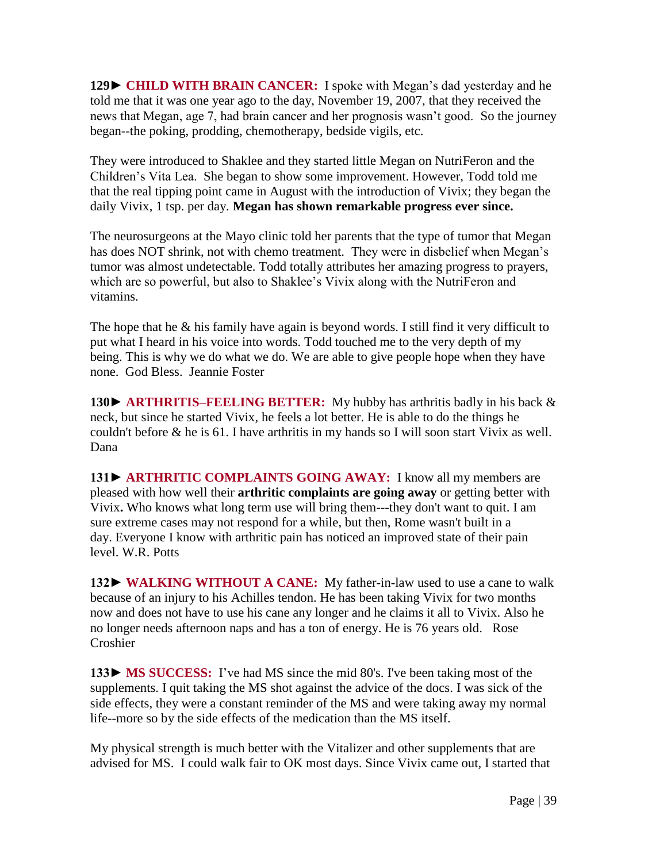**129► CHILD WITH BRAIN CANCER:** I spoke with Megan's dad yesterday and he told me that it was one year ago to the day, November 19, 2007, that they received the news that Megan, age 7, had brain cancer and her prognosis wasn't good. So the journey began--the poking, prodding, chemotherapy, bedside vigils, etc.

They were introduced to Shaklee and they started little Megan on NutriFeron and the Children's Vita Lea. She began to show some improvement. However, Todd told me that the real tipping point came in August with the introduction of Vivix; they began the daily Vivix, 1 tsp. per day. **Megan has shown remarkable progress ever since.**

The neurosurgeons at the Mayo clinic told her parents that the type of tumor that Megan has does NOT shrink, not with chemo treatment. They were in disbelief when Megan's tumor was almost undetectable. Todd totally attributes her amazing progress to prayers, which are so powerful, but also to Shaklee's Vivix along with the NutriFeron and vitamins.

The hope that he & his family have again is beyond words. I still find it very difficult to put what I heard in his voice into words. Todd touched me to the very depth of my being. This is why we do what we do. We are able to give people hope when they have none. God Bless. Jeannie Foster

**130**► **ARTHRITIS–FEELING BETTER:** My hubby has arthritis badly in his back & neck, but since he started Vivix, he feels a lot better. He is able to do the things he couldn't before & he is 61. I have arthritis in my hands so I will soon start Vivix as well. Dana

**131► ARTHRITIC COMPLAINTS GOING AWAY:** I know all my members are pleased with how well their **arthritic complaints are going away** or getting better with Vivix**.** Who knows what long term use will bring them---they don't want to quit. I am sure extreme cases may not respond for a while, but then, Rome wasn't built in a day. Everyone I know with arthritic pain has noticed an improved state of their pain level. W.R. Potts

**132► WALKING WITHOUT A CANE:** My father-in-law used to use a cane to walk because of an injury to his Achilles tendon. He has been taking Vivix for two months now and does not have to use his cane any longer and he claims it all to Vivix. Also he no longer needs afternoon naps and has a ton of energy. He is 76 years old. Rose Croshier

**133► MS SUCCESS:** I've had MS since the mid 80's. I've been taking most of the supplements. I quit taking the MS shot against the advice of the docs. I was sick of the side effects, they were a constant reminder of the MS and were taking away my normal life--more so by the side effects of the medication than the MS itself.

My physical strength is much better with the Vitalizer and other supplements that are advised for MS. I could walk fair to OK most days. Since Vivix came out, I started that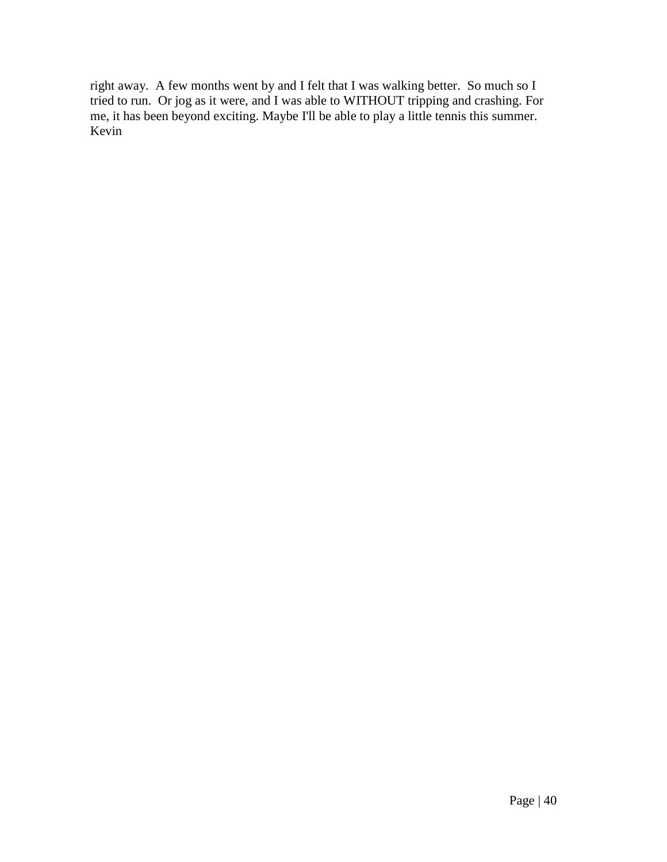right away. A few months went by and I felt that I was walking better. So much so I tried to run. Or jog as it were, and I was able to WITHOUT tripping and crashing. For me, it has been beyond exciting. Maybe I'll be able to play a little tennis this summer. Kevin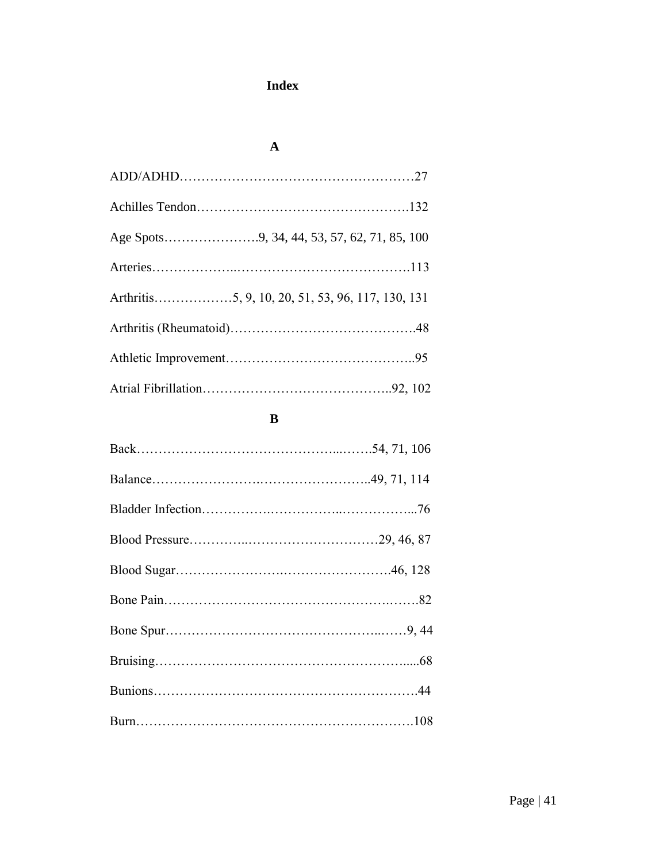# **Index**

### **A**

#### **B**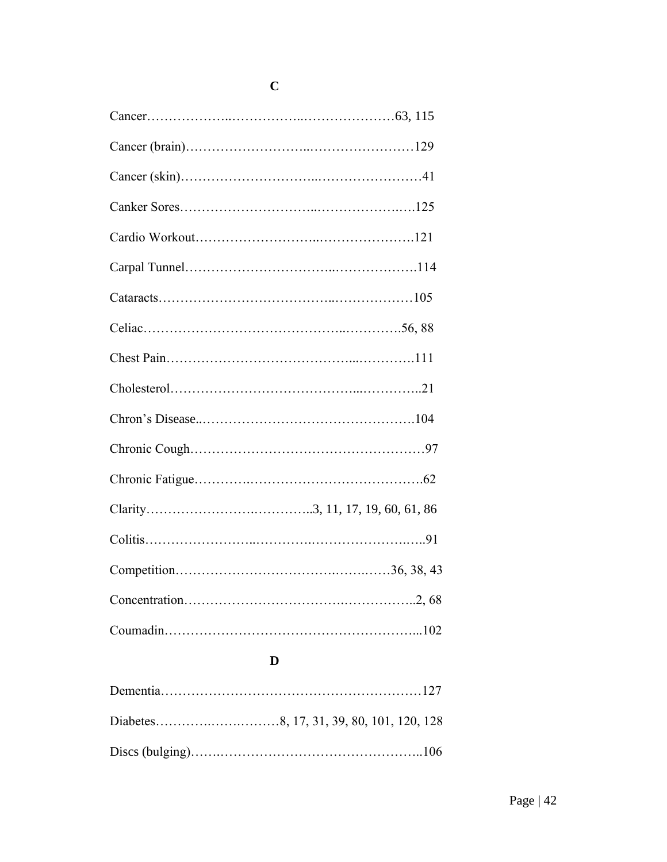## **D**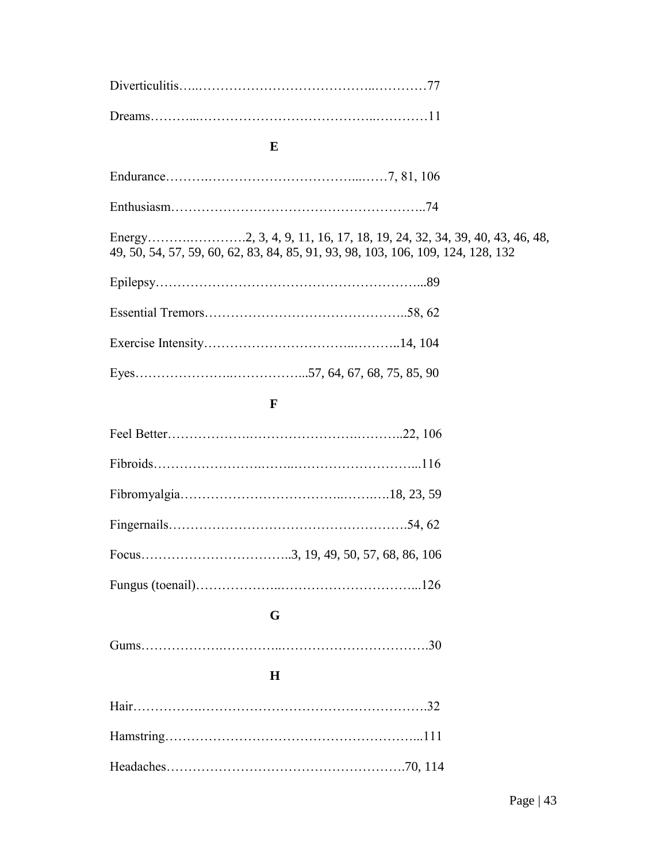## **E**

|--|

Energy……….………….2, 3, 4, 9, 11, 16, 17, 18, 19, 24, 32, 34, 39, 40, 43, 46, 48, 49, 50, 54, 57, 59, 60, 62, 83, 84, 85, 91, 93, 98, 103, 106, 109, 124, 128, 132

### **FF**

## **G**

|--|

## **H**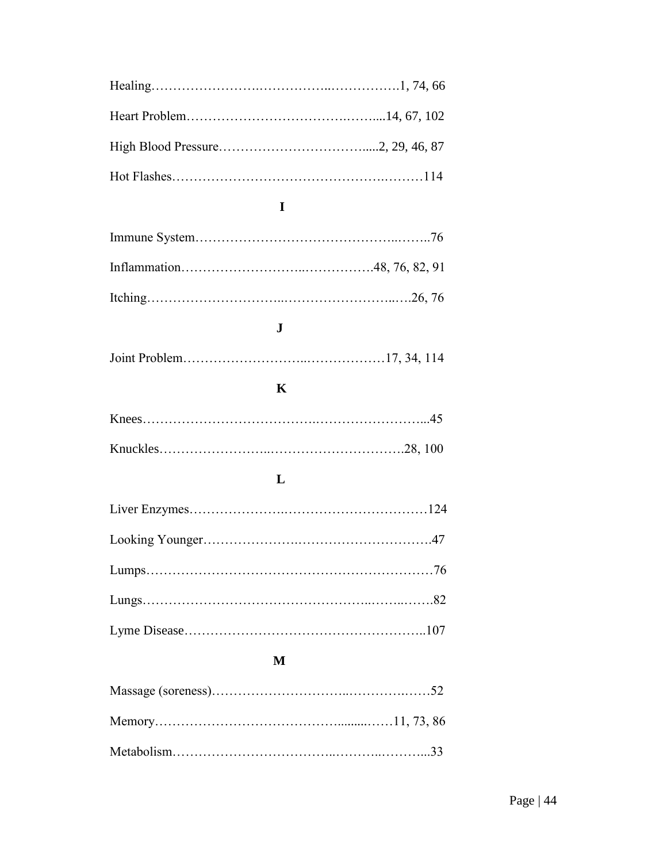# **I**

# **J**

|--|--|--|--|

# **K**

### **L**

### **M**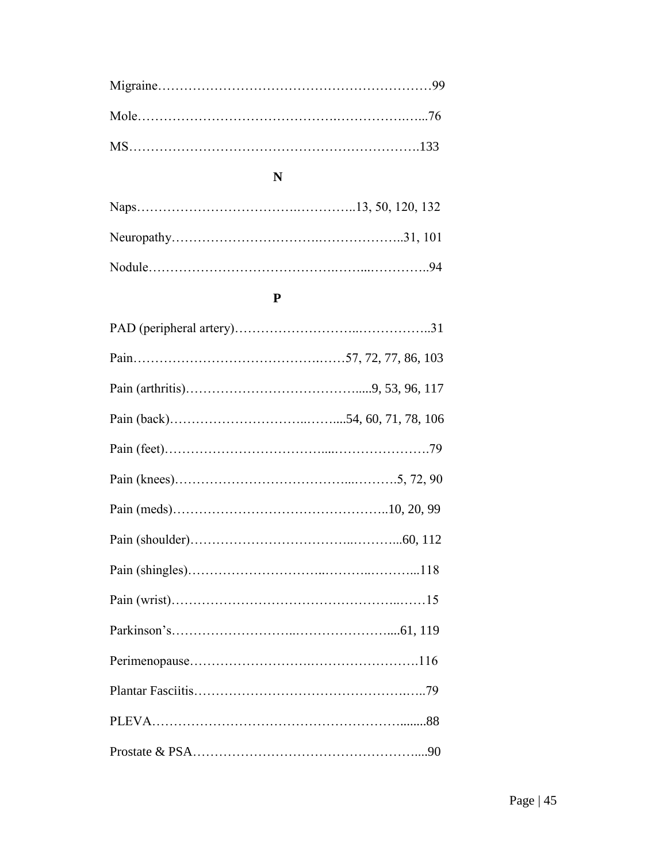## **N**

### **P**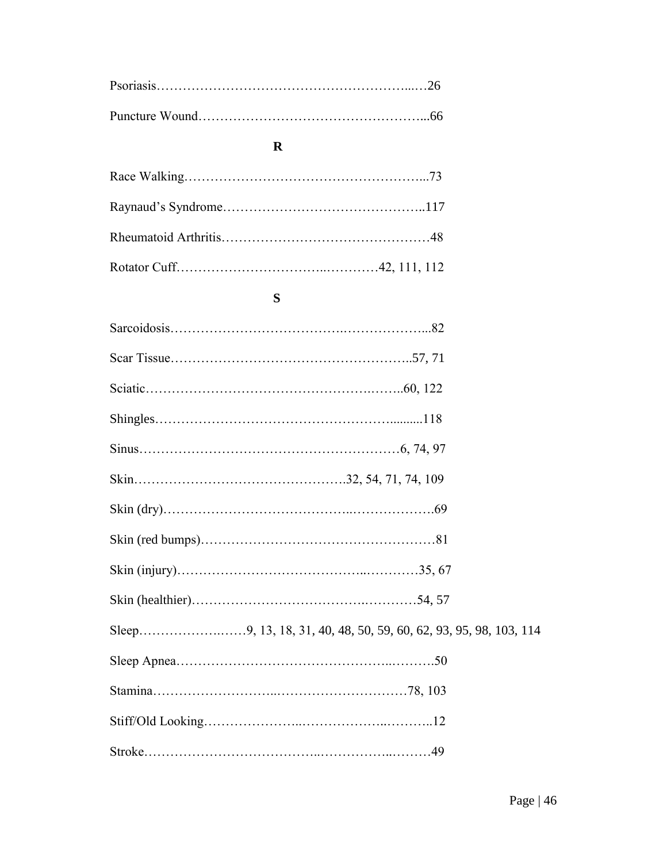### **R**

### **S**